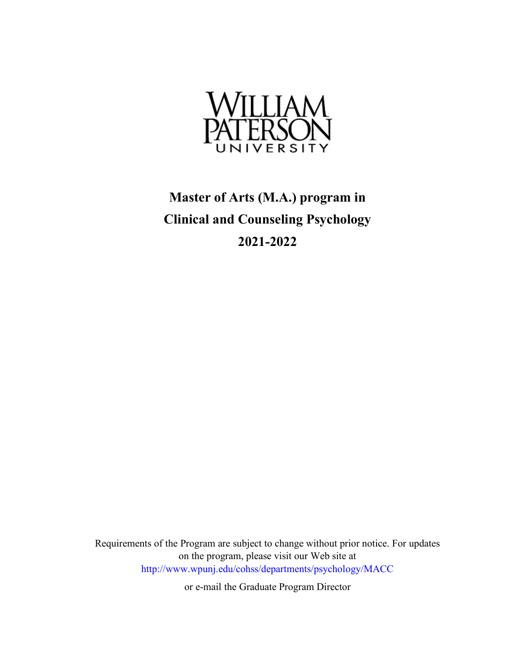

# **Master of Arts (M.A.) program in Clinical and Counseling Psychology 2021-2022**

Requirements of the Program are subject to change without prior notice. For updates on the program, please visit our Web site at <http://www.wpunj.edu/cohss/departments/psychology/MACC>

or e-mail the Graduate Program Director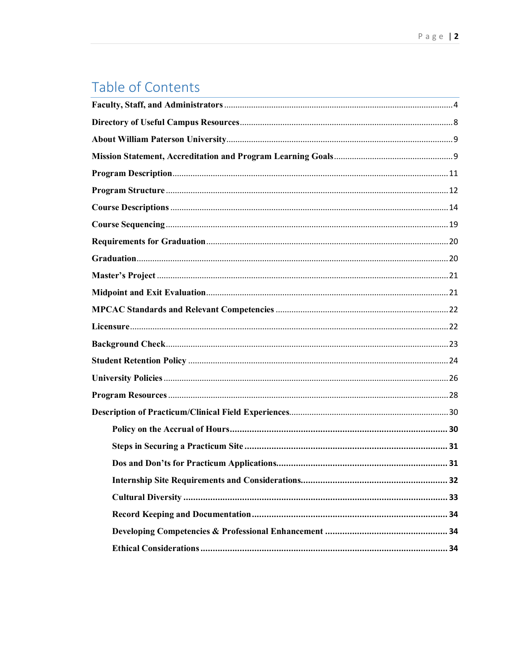# Table of Contents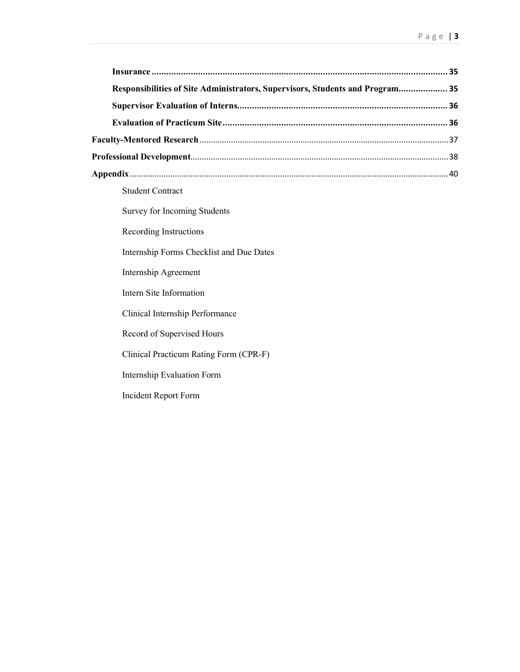| Responsibilities of Site Administrators, Supervisors, Students and Program 35 |  |
|-------------------------------------------------------------------------------|--|
|                                                                               |  |
|                                                                               |  |
|                                                                               |  |
|                                                                               |  |
|                                                                               |  |
| <b>Student Contract</b>                                                       |  |
| <b>Survey for Incoming Students</b>                                           |  |

Recording Instructions

Internship Forms Checklist and Due Dates

Internship Agreement

Intern Site Information

Clinical Internship Performance

Record of Supervised Hours

Clinical Practicum Rating Form (CPR-F)

Internship Evaluation Form

Incident Report Form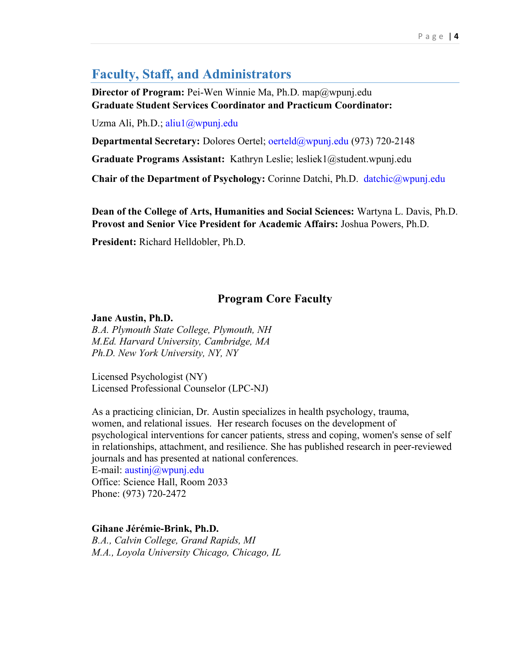## <span id="page-3-0"></span>**Faculty, Staff, and Administrators**

**Director of Program:** Pei-Wen Winnie Ma, Ph.D. map@wpunj.edu **Graduate Student Services Coordinator and Practicum Coordinator:**

Uzma Ali, Ph.D.; [aliu1@wpunj.edu](mailto:aliu1@wpunj.edu)

**Departmental Secretary:** Dolores Oertel; [oerteld@wpunj.edu](mailto:oerteld@wpunj.edu) (973) 720-2148

**Graduate Programs Assistant:** Kathryn Leslie; lesliek1@student.wpunj.edu

**Chair of the Department of Psychology:** Corinne Datchi, Ph.D. [datchic@wpunj.edu](mailto:datchic@wpunj.edu)

**Dean of the College of Arts, Humanities and Social Sciences:** Wartyna L. Davis, Ph.D. **Provost and Senior Vice President for Academic Affairs:** Joshua Powers, Ph.D.

**President:** Richard Helldobler, Ph.D.

## **Program Core Faculty**

#### **Jane Austin, Ph.D.**

*B.A. Plymouth State College, Plymouth, NH M.Ed. Harvard University, Cambridge, MA Ph.D. New York University, NY, NY*

Licensed Psychologist (NY) Licensed Professional Counselor (LPC-NJ)

As a practicing clinician, Dr. Austin specializes in health psychology, trauma, women, and relational issues. Her research focuses on the development of psychological interventions for cancer patients, stress and coping, women's sense of self in relationships, attachment, and resilience. She has published research in peer-reviewed journals and has presented at national conferences.

E-mail: [austinj@wpunj.edu](mailto:austinj@wpunj.edu) Office: Science Hall, Room 2033 Phone: (973) 720-2472

**Gihane Jérémie-Brink, Ph.D.** *B.A., Calvin College, Grand Rapids, MI M.A., Loyola University Chicago, Chicago, IL*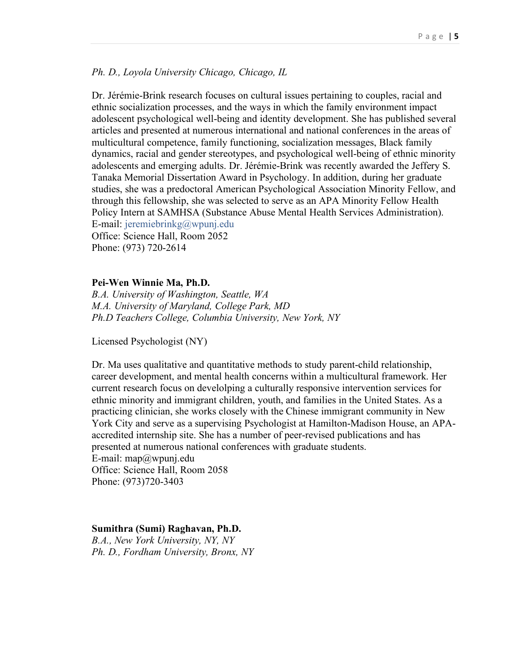#### *Ph. D., Loyola University Chicago, Chicago, IL*

Dr. Jérémie-Brink research focuses on cultural issues pertaining to couples, racial and ethnic socialization processes, and the ways in which the family environment impact adolescent psychological well-being and identity development. She has published several articles and presented at numerous international and national conferences in the areas of multicultural competence, family functioning, socialization messages, Black family dynamics, racial and gender stereotypes, and psychological well-being of ethnic minority adolescents and emerging adults. Dr. Jérémie-Brink was recently awarded the Jeffery S. Tanaka Memorial Dissertation Award in Psychology. In addition, during her graduate studies, she was a predoctoral American Psychological Association Minority Fellow, and through this fellowship, she was selected to serve as an APA Minority Fellow Health Policy Intern at SAMHSA (Substance Abuse Mental Health Services Administration). E-mail: [jeremiebrinkg@wpunj.edu](mailto:jeremiebrinkg@wpunj.edu)

Office: Science Hall, Room 2052 Phone: (973) 720-2614

#### **Pei-Wen Winnie Ma, Ph.D.**

*B.A. University of Washington, Seattle, WA M.A. University of Maryland, College Park, MD Ph.D Teachers College, Columbia University, New York, NY*

Licensed Psychologist (NY)

Dr. Ma uses qualitative and quantitative methods to study parent-child relationship, career development, and mental health concerns within a multicultural framework. Her current research focus on develolping a culturally responsive intervention services for ethnic minority and immigrant children, youth, and families in the United States. As a practicing clinician, she works closely with the Chinese immigrant community in New York City and serve as a supervising Psychologist at Hamilton-Madison House, an APAaccredited internship site. She has a number of peer-revised publications and has presented at numerous national conferences with graduate students. E-mail: [map@wpunj.edu](mailto:map@wpunj.edu) Office: Science Hall, Room 2058 Phone: (973)720-3403

#### **Sumithra (Sumi) Raghavan, Ph.D.**

*B.A., New York University, NY, NY Ph. D., Fordham University, Bronx, NY*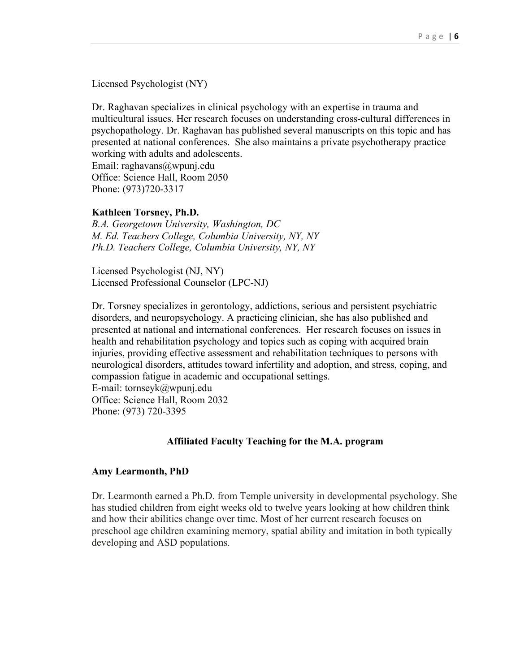Licensed Psychologist (NY)

Dr. Raghavan specializes in clinical psychology with an expertise in trauma and multicultural issues. Her research focuses on understanding cross-cultural differences in psychopathology. Dr. Raghavan has published several manuscripts on this topic and has presented at national conferences. She also maintains a private psychotherapy practice working with adults and adolescents.

Email: [raghavans@wpunj.edu](mailto:raghavans@wpunj.edu) Office: Science Hall, Room 2050 Phone: (973)720-3317

#### **Kathleen Torsney, Ph.D.**

*B.A. Georgetown University, Washington, DC M. Ed. Teachers College, Columbia University, NY, NY Ph.D. Teachers College, Columbia University, NY, NY*

Licensed Psychologist (NJ, NY) Licensed Professional Counselor (LPC-NJ)

Dr. Torsney specializes in gerontology, addictions, serious and persistent psychiatric disorders, and neuropsychology. A practicing clinician, she has also published and presented at national and international conferences. Her research focuses on issues in health and rehabilitation psychology and topics such as coping with acquired brain injuries, providing effective assessment and rehabilitation techniques to persons with neurological disorders, attitudes toward infertility and adoption, and stress, coping, and compassion fatigue in academic and occupational settings. E-mail: [tornseyk@wpunj.edu](mailto:tornseyk@wpunj.edu) Office: Science Hall, Room 2032

Phone: (973) 720-3395

#### **Affiliated Faculty Teaching for the M.A. program**

#### **Amy Learmonth, PhD**

Dr. Learmonth earned a Ph.D. from Temple university in developmental psychology. She has studied children from eight weeks old to twelve years looking at how children think and how their abilities change over time. Most of her current research focuses on preschool age children examining memory, spatial ability and imitation in both typically developing and ASD populations.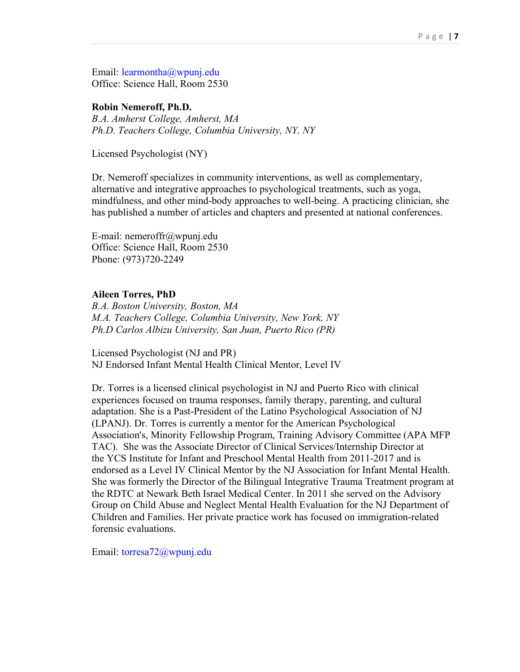Email: [learmontha@wpunj.edu](mailto:learmontha@wpunj.edu) Office: Science Hall, Room 2530

#### **Robin Nemeroff, Ph.D.**

*B.A. Amherst College, Amherst, MA Ph.D. Teachers College, Columbia University, NY, NY*

Licensed Psychologist (NY)

Dr. Nemeroff specializes in community interventions, as well as complementary, alternative and integrative approaches to psychological treatments, such as yoga, mindfulness, and other mind-body approaches to well-being. A practicing clinician, she has published a number of articles and chapters and presented at national conferences.

E-mail: [nemeroffr@wpunj.edu](mailto:nemeroffr@wpunj.edu) Office: Science Hall, Room 2530 Phone: (973)720-2249

#### **Aileen Torres, PhD**

*B.A. Boston University, Boston, MA M.A. Teachers College, Columbia University, New York, NY Ph.D Carlos Albizu University, San Juan, Puerto Rico (PR)*

Licensed Psychologist (NJ and PR) NJ Endorsed Infant Mental Health Clinical Mentor, Level IV

Dr. Torres is a licensed clinical psychologist in NJ and Puerto Rico with clinical experiences focused on trauma responses, family therapy, parenting, and cultural adaptation. She is a Past-President of the Latino Psychological Association of NJ (LPANJ). Dr. Torres is currently a mentor for the American Psychological Association's, Minority Fellowship Program, Training Advisory Committee (APA MFP TAC). She was the Associate Director of Clinical Services/Internship Director at the YCS Institute for Infant and Preschool Mental Health from 2011-2017 and is endorsed as a Level IV Clinical Mentor by the NJ Association for Infant Mental Health. She was formerly the Director of the Bilingual Integrative Trauma Treatment program at the RDTC at Newark Beth Israel Medical Center. In 2011 she served on the Advisory Group on Child Abuse and Neglect Mental Health Evaluation for the NJ Department of Children and Families. Her private practice work has focused on immigration-related forensic evaluations.

Email: [torresa72@wpunj.edu](mailto:torresa72@wpunj.edu)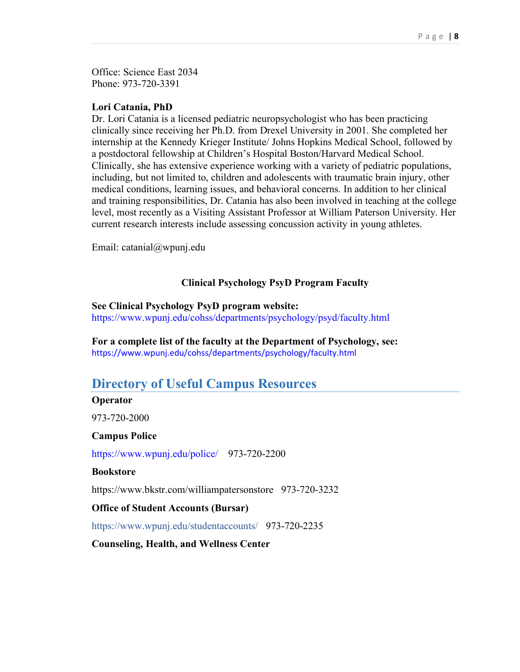Office: Science East 2034 Phone: 973-720-3391

#### **Lori Catania, PhD**

Dr. Lori Catania is a licensed pediatric neuropsychologist who has been practicing clinically since receiving her Ph.D. from Drexel University in 2001. She completed her internship at the Kennedy Krieger Institute/ Johns Hopkins Medical School, followed by a postdoctoral fellowship at Children's Hospital Boston/Harvard Medical School. Clinically, she has extensive experience working with a variety of pediatric populations, including, but not limited to, children and adolescents with traumatic brain injury, other medical conditions, learning issues, and behavioral concerns. In addition to her clinical and training responsibilities, Dr. Catania has also been involved in teaching at the college level, most recently as a Visiting Assistant Professor at William Paterson University. Her current research interests include assessing concussion activity in young athletes.

Email: catanial@wpunj.edu

### **Clinical Psychology PsyD Program Faculty**

#### **See Clinical Psychology PsyD program website:**

<https://www.wpunj.edu/cohss/departments/psychology/psyd/faculty.html>

**For a complete list of the faculty at the Department of Psychology, see:** <https://www.wpunj.edu/cohss/departments/psychology/faculty.html>

## <span id="page-7-0"></span>**Directory of Useful Campus Resources**

#### **Operator**

973-720-2000

#### **Campus Police**

<https://www.wpunj.edu/police/>973-720-2200

#### **Bookstore**

https://www.bkstr.com/williampatersonstore 973-720-3232

#### **Office of Student Accounts (Bursar)**

https://www.wpunj.edu/studentaccounts/ 973-720-2235

**Counseling, Health, and Wellness Center**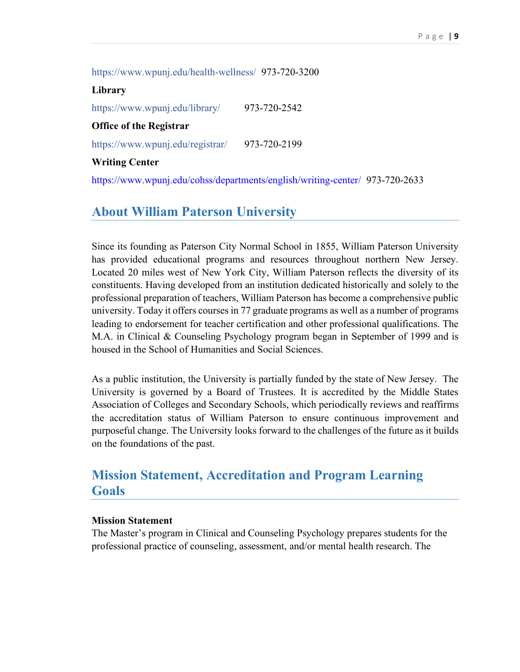https://www.wpunj.edu/health-wellness/ 973-720-3200

**Library**  https://www.wpunj.edu/library/ 973-720-2542 **Office of the Registrar**  https://www.wpunj.edu/registrar/ 973-720-2199 **Writing Center**  <https://www.wpunj.edu/cohss/departments/english/writing-center/>973-720-2633

## <span id="page-8-0"></span>**About William Paterson University**

Since its founding as Paterson City Normal School in 1855, William Paterson University has provided educational programs and resources throughout northern New Jersey. Located 20 miles west of New York City, William Paterson reflects the diversity of its constituents. Having developed from an institution dedicated historically and solely to the professional preparation of teachers, William Paterson has become a comprehensive public university. Today it offers courses in 77 graduate programs as well as a number of programs leading to endorsement for teacher certification and other professional qualifications. The M.A. in Clinical & Counseling Psychology program began in September of 1999 and is housed in the School of Humanities and Social Sciences.

As a public institution, the University is partially funded by the state of New Jersey. The University is governed by a Board of Trustees. It is accredited by the Middle States Association of Colleges and Secondary Schools, which periodically reviews and reaffirms the accreditation status of William Paterson to ensure continuous improvement and purposeful change. The University looks forward to the challenges of the future as it builds on the foundations of the past.

## <span id="page-8-1"></span>**Mission Statement, Accreditation and Program Learning Goals**

#### **Mission Statement**

The Master's program in Clinical and Counseling Psychology prepares students for the professional practice of counseling, assessment, and/or mental health research. The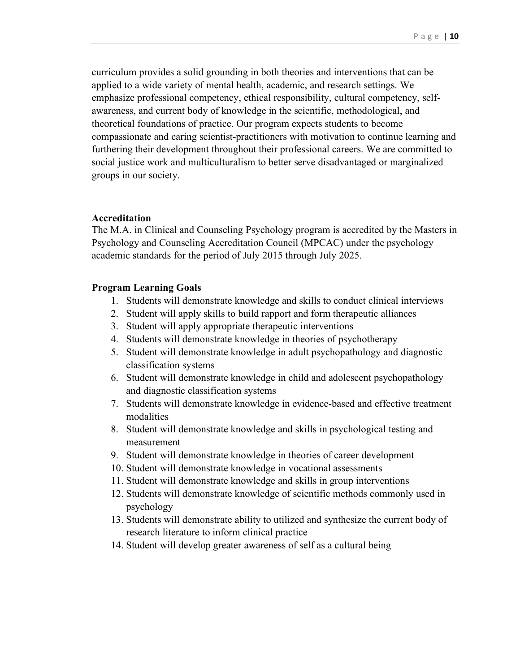curriculum provides a solid grounding in both theories and interventions that can be applied to a wide variety of mental health, academic, and research settings. We emphasize professional competency, ethical responsibility, cultural competency, selfawareness, and current body of knowledge in the scientific, methodological, and theoretical foundations of practice. Our program expects students to become compassionate and caring scientist-practitioners with motivation to continue learning and furthering their development throughout their professional careers. We are committed to social justice work and multiculturalism to better serve disadvantaged or marginalized groups in our society.

#### **Accreditation**

The M.A. in Clinical and Counseling Psychology program is accredited by the Masters in Psychology and Counseling Accreditation Council (MPCAC) under the psychology academic standards for the period of July 2015 through July 2025.

#### **Program Learning Goals**

- 1. Students will demonstrate knowledge and skills to conduct clinical interviews
- 2. Student will apply skills to build rapport and form therapeutic alliances
- 3. Student will apply appropriate therapeutic interventions
- 4. Students will demonstrate knowledge in theories of psychotherapy
- 5. Student will demonstrate knowledge in adult psychopathology and diagnostic classification systems
- 6. Student will demonstrate knowledge in child and adolescent psychopathology and diagnostic classification systems
- 7. Students will demonstrate knowledge in evidence-based and effective treatment modalities
- 8. Student will demonstrate knowledge and skills in psychological testing and measurement
- 9. Student will demonstrate knowledge in theories of career development
- 10. Student will demonstrate knowledge in vocational assessments
- 11. Student will demonstrate knowledge and skills in group interventions
- 12. Students will demonstrate knowledge of scientific methods commonly used in psychology
- 13. Students will demonstrate ability to utilized and synthesize the current body of research literature to inform clinical practice
- 14. Student will develop greater awareness of self as a cultural being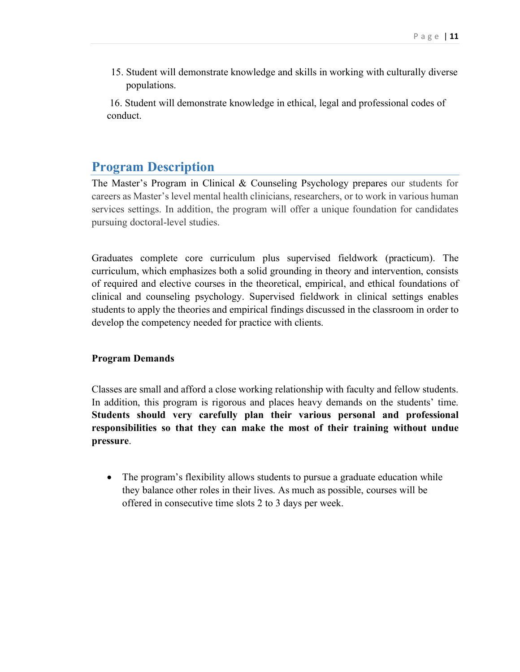15. Student will demonstrate knowledge and skills in working with culturally diverse populations.

16. Student will demonstrate knowledge in ethical, legal and professional codes of conduct.

## <span id="page-10-0"></span>**Program Description**

The Master's Program in Clinical & Counseling Psychology prepares our students for careers as Master's level mental health clinicians, researchers, or to work in various human services settings. In addition, the program will offer a unique foundation for candidates pursuing doctoral-level studies.

Graduates complete core curriculum plus supervised fieldwork (practicum). The curriculum, which emphasizes both a solid grounding in theory and intervention, consists of required and elective courses in the theoretical, empirical, and ethical foundations of clinical and counseling psychology. Supervised fieldwork in clinical settings enables students to apply the theories and empirical findings discussed in the classroom in order to develop the competency needed for practice with clients.

## **Program Demands**

Classes are small and afford a close working relationship with faculty and fellow students. In addition, this program is rigorous and places heavy demands on the students' time. **Students should very carefully plan their various personal and professional responsibilities so that they can make the most of their training without undue pressure**.

• The program's flexibility allows students to pursue a graduate education while they balance other roles in their lives. As much as possible, courses will be offered in consecutive time slots 2 to 3 days per week.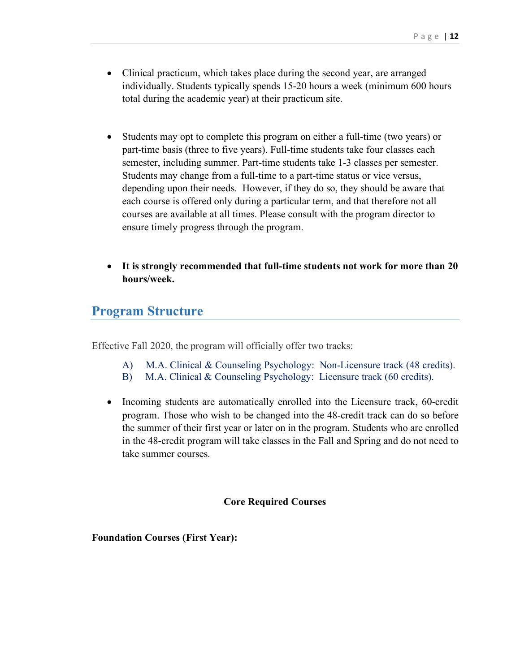- Clinical practicum, which takes place during the second year, are arranged individually. Students typically spends 15-20 hours a week (minimum 600 hours total during the academic year) at their practicum site.
- Students may opt to complete this program on either a full-time (two years) or part-time basis (three to five years). Full-time students take four classes each semester, including summer. Part-time students take 1-3 classes per semester. Students may change from a full-time to a part-time status or vice versus, depending upon their needs. However, if they do so, they should be aware that each course is offered only during a particular term, and that therefore not all courses are available at all times. Please consult with the program director to ensure timely progress through the program.
- **It is strongly recommended that full-time students not work for more than 20 hours/week.**

## <span id="page-11-0"></span>**Program Structure**

Effective Fall 2020, the program will officially offer two tracks:

- A) M.A. Clinical & Counseling Psychology: Non-Licensure track (48 credits).
- B) M.A. Clinical & Counseling Psychology: Licensure track (60 credits).
- Incoming students are automatically enrolled into the Licensure track, 60-credit program. Those who wish to be changed into the 48-credit track can do so before the summer of their first year or later on in the program. Students who are enrolled in the 48-credit program will take classes in the Fall and Spring and do not need to take summer courses.

## **Core Required Courses**

**Foundation Courses (First Year):**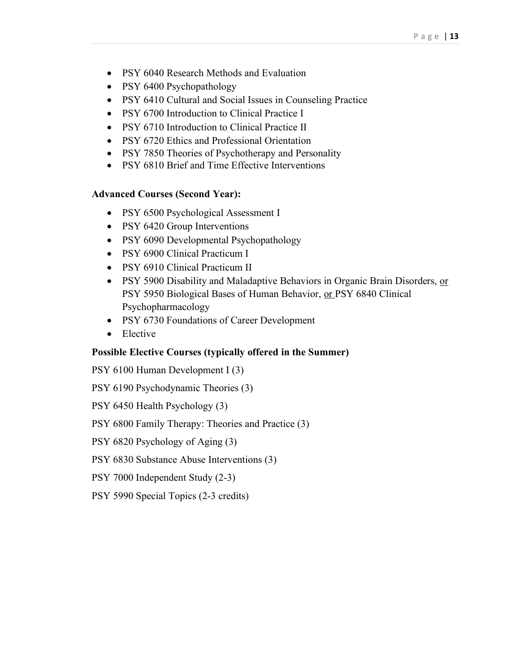- PSY 6040 Research Methods and Evaluation
- PSY 6400 Psychopathology
- PSY 6410 Cultural and Social Issues in Counseling Practice
- PSY 6700 Introduction to Clinical Practice I
- PSY 6710 Introduction to Clinical Practice II
- PSY 6720 Ethics and Professional Orientation
- PSY 7850 Theories of Psychotherapy and Personality
- PSY 6810 Brief and Time Effective Interventions

## **Advanced Courses (Second Year):**

- PSY 6500 Psychological Assessment I
- PSY 6420 Group Interventions
- PSY 6090 Developmental Psychopathology
- PSY 6900 Clinical Practicum I
- PSY 6910 Clinical Practicum II
- PSY 5900 Disability and Maladaptive Behaviors in Organic Brain Disorders, or PSY 5950 Biological Bases of Human Behavior, or PSY 6840 Clinical Psychopharmacology
- PSY 6730 Foundations of Career Development
- Elective

## **Possible Elective Courses (typically offered in the Summer)**

PSY 6100 Human Development I (3)

PSY 6190 Psychodynamic Theories (3)

PSY 6450 Health Psychology (3)

PSY 6800 Family Therapy: Theories and Practice (3)

PSY 6820 Psychology of Aging (3)

- PSY 6830 Substance Abuse Interventions (3)
- PSY 7000 Independent Study (2-3)
- PSY 5990 Special Topics (2-3 credits)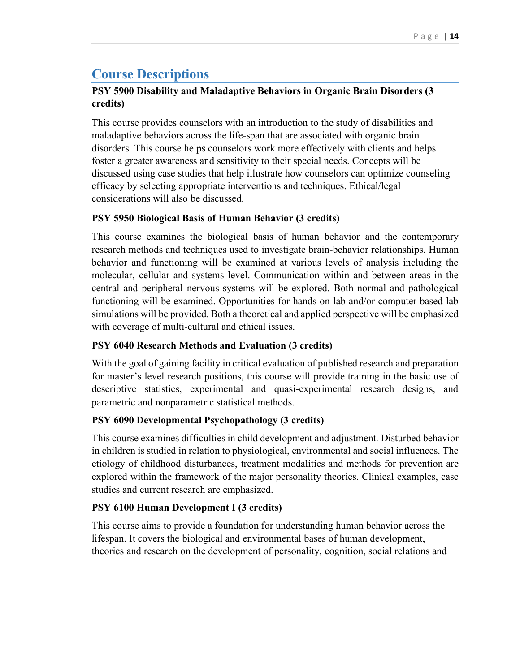## <span id="page-13-0"></span>**Course Descriptions**

## **PSY 5900 Disability and Maladaptive Behaviors in Organic Brain Disorders (3 credits)**

This course provides counselors with an introduction to the study of disabilities and maladaptive behaviors across the life-span that are associated with organic brain disorders. This course helps counselors work more effectively with clients and helps foster a greater awareness and sensitivity to their special needs. Concepts will be discussed using case studies that help illustrate how counselors can optimize counseling efficacy by selecting appropriate interventions and techniques. Ethical/legal considerations will also be discussed.

## **PSY 5950 Biological Basis of Human Behavior (3 credits)**

This course examines the biological basis of human behavior and the contemporary research methods and techniques used to investigate brain-behavior relationships. Human behavior and functioning will be examined at various levels of analysis including the molecular, cellular and systems level. Communication within and between areas in the central and peripheral nervous systems will be explored. Both normal and pathological functioning will be examined. Opportunities for hands-on lab and/or computer-based lab simulations will be provided. Both a theoretical and applied perspective will be emphasized with coverage of multi-cultural and ethical issues.

## **PSY 6040 Research Methods and Evaluation (3 credits)**

With the goal of gaining facility in critical evaluation of published research and preparation for master's level research positions, this course will provide training in the basic use of descriptive statistics, experimental and quasi-experimental research designs, and parametric and nonparametric statistical methods.

## **PSY 6090 Developmental Psychopathology (3 credits)**

This course examines difficulties in child development and adjustment. Disturbed behavior in children is studied in relation to physiological, environmental and social influences. The etiology of childhood disturbances, treatment modalities and methods for prevention are explored within the framework of the major personality theories. Clinical examples, case studies and current research are emphasized.

## **PSY 6100 Human Development I (3 credits)**

This course aims to provide a foundation for understanding human behavior across the lifespan. It covers the biological and environmental bases of human development, theories and research on the development of personality, cognition, social relations and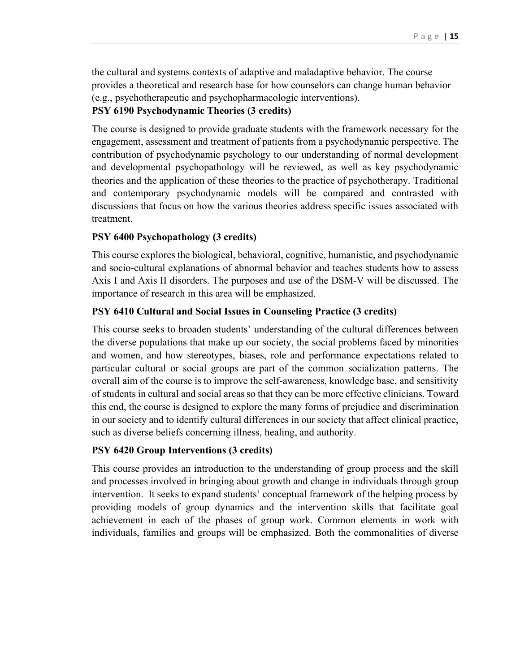the cultural and systems contexts of adaptive and maladaptive behavior. The course provides a theoretical and research base for how counselors can change human behavior (e.g., psychotherapeutic and psychopharmacologic interventions).

### **PSY 6190 Psychodynamic Theories (3 credits)**

The course is designed to provide graduate students with the framework necessary for the engagement, assessment and treatment of patients from a psychodynamic perspective. The contribution of psychodynamic psychology to our understanding of normal development and developmental psychopathology will be reviewed, as well as key psychodynamic theories and the application of these theories to the practice of psychotherapy. Traditional and contemporary psychodynamic models will be compared and contrasted with discussions that focus on how the various theories address specific issues associated with treatment.

### **PSY 6400 Psychopathology (3 credits)**

This course explores the biological, behavioral, cognitive, humanistic, and psychodynamic and socio-cultural explanations of abnormal behavior and teaches students how to assess Axis I and Axis II disorders. The purposes and use of the DSM-V will be discussed. The importance of research in this area will be emphasized.

## **PSY 6410 Cultural and Social Issues in Counseling Practice (3 credits)**

This course seeks to broaden students' understanding of the cultural differences between the diverse populations that make up our society, the social problems faced by minorities and women, and how stereotypes, biases, role and performance expectations related to particular cultural or social groups are part of the common socialization patterns. The overall aim of the course is to improve the self-awareness, knowledge base, and sensitivity of students in cultural and social areas so that they can be more effective clinicians. Toward this end, the course is designed to explore the many forms of prejudice and discrimination in our society and to identify cultural differences in our society that affect clinical practice, such as diverse beliefs concerning illness, healing, and authority.

#### **PSY 6420 Group Interventions (3 credits)**

This course provides an introduction to the understanding of group process and the skill and processes involved in bringing about growth and change in individuals through group intervention. It seeks to expand students' conceptual framework of the helping process by providing models of group dynamics and the intervention skills that facilitate goal achievement in each of the phases of group work. Common elements in work with individuals, families and groups will be emphasized. Both the commonalities of diverse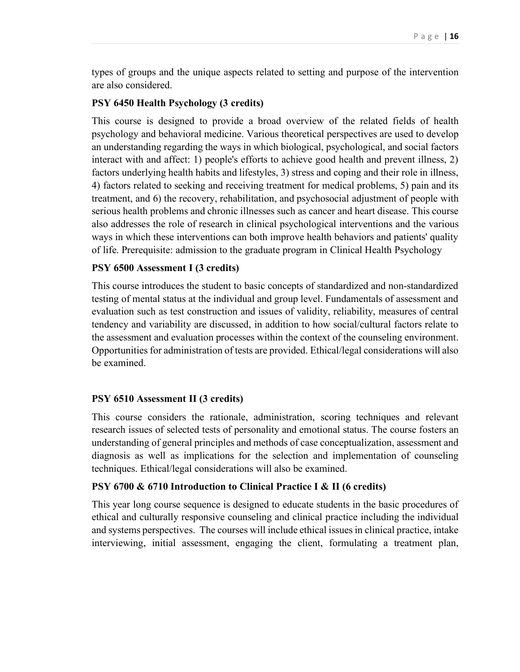types of groups and the unique aspects related to setting and purpose of the intervention are also considered.

## **PSY 6450 Health Psychology (3 credits)**

This course is designed to provide a broad overview of the related fields of health psychology and behavioral medicine. Various theoretical perspectives are used to develop an understanding regarding the ways in which biological, psychological, and social factors interact with and affect: 1) people's efforts to achieve good health and prevent illness, 2) factors underlying health habits and lifestyles, 3) stress and coping and their role in illness, 4) factors related to seeking and receiving treatment for medical problems, 5) pain and its treatment, and 6) the recovery, rehabilitation, and psychosocial adjustment of people with serious health problems and chronic illnesses such as cancer and heart disease. This course also addresses the role of research in clinical psychological interventions and the various ways in which these interventions can both improve health behaviors and patients' quality of life. Prerequisite: admission to the graduate program in Clinical Health Psychology

## **PSY 6500 Assessment I (3 credits)**

This course introduces the student to basic concepts of standardized and non-standardized testing of mental status at the individual and group level. Fundamentals of assessment and evaluation such as test construction and issues of validity, reliability, measures of central tendency and variability are discussed, in addition to how social/cultural factors relate to the assessment and evaluation processes within the context of the counseling environment. Opportunities for administration of tests are provided. Ethical/legal considerations will also be examined.

## **PSY 6510 Assessment II (3 credits)**

This course considers the rationale, administration, scoring techniques and relevant research issues of selected tests of personality and emotional status. The course fosters an understanding of general principles and methods of case conceptualization, assessment and diagnosis as well as implications for the selection and implementation of counseling techniques. Ethical/legal considerations will also be examined.

#### **PSY 6700 & 6710 Introduction to Clinical Practice I & II (6 credits)**

This year long course sequence is designed to educate students in the basic procedures of ethical and culturally responsive counseling and clinical practice including the individual and systems perspectives. The courses will include ethical issues in clinical practice, intake interviewing, initial assessment, engaging the client, formulating a treatment plan,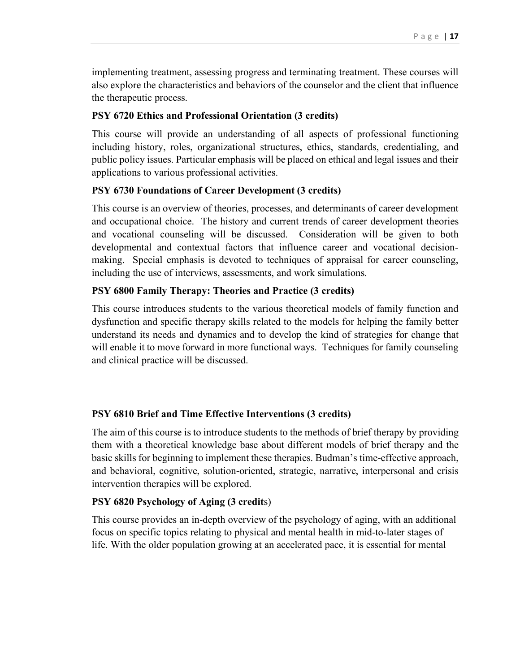implementing treatment, assessing progress and terminating treatment. These courses will also explore the characteristics and behaviors of the counselor and the client that influence the therapeutic process.

## **PSY 6720 Ethics and Professional Orientation (3 credits)**

This course will provide an understanding of all aspects of professional functioning including history, roles, organizational structures, ethics, standards, credentialing, and public policy issues. Particular emphasis will be placed on ethical and legal issues and their applications to various professional activities.

## **PSY 6730 Foundations of Career Development (3 credits)**

This course is an overview of theories, processes, and determinants of career development and occupational choice. The history and current trends of career development theories and vocational counseling will be discussed. Consideration will be given to both developmental and contextual factors that influence career and vocational decisionmaking. Special emphasis is devoted to techniques of appraisal for career counseling, including the use of interviews, assessments, and work simulations.

## **PSY 6800 Family Therapy: Theories and Practice (3 credits)**

This course introduces students to the various theoretical models of family function and dysfunction and specific therapy skills related to the models for helping the family better understand its needs and dynamics and to develop the kind of strategies for change that will enable it to move forward in more functional ways. Techniques for family counseling and clinical practice will be discussed.

## **PSY 6810 Brief and Time Effective Interventions (3 credits)**

The aim of this course is to introduce students to the methods of brief therapy by providing them with a theoretical knowledge base about different models of brief therapy and the basic skills for beginning to implement these therapies. Budman's time-effective approach, and behavioral, cognitive, solution-oriented, strategic, narrative, interpersonal and crisis intervention therapies will be explored.

## **PSY 6820 Psychology of Aging (3 credit**s)

This course provides an in-depth overview of the psychology of aging, with an additional focus on specific topics relating to physical and mental health in mid-to-later stages of life. With the older population growing at an accelerated pace, it is essential for mental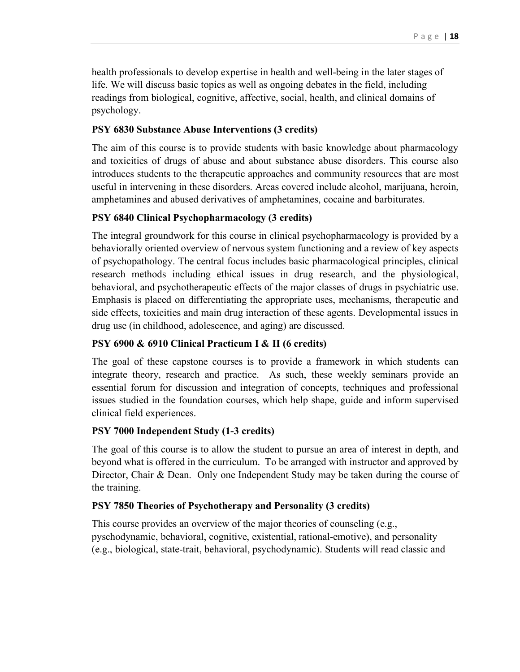health professionals to develop expertise in health and well-being in the later stages of life. We will discuss basic topics as well as ongoing debates in the field, including readings from biological, cognitive, affective, social, health, and clinical domains of psychology.

## **PSY 6830 Substance Abuse Interventions (3 credits)**

The aim of this course is to provide students with basic knowledge about pharmacology and toxicities of drugs of abuse and about substance abuse disorders. This course also introduces students to the therapeutic approaches and community resources that are most useful in intervening in these disorders. Areas covered include alcohol, marijuana, heroin, amphetamines and abused derivatives of amphetamines, cocaine and barbiturates.

## **PSY 6840 Clinical Psychopharmacology (3 credits)**

The integral groundwork for this course in clinical psychopharmacology is provided by a behaviorally oriented overview of nervous system functioning and a review of key aspects of psychopathology. The central focus includes basic pharmacological principles, clinical research methods including ethical issues in drug research, and the physiological, behavioral, and psychotherapeutic effects of the major classes of drugs in psychiatric use. Emphasis is placed on differentiating the appropriate uses, mechanisms, therapeutic and side effects, toxicities and main drug interaction of these agents. Developmental issues in drug use (in childhood, adolescence, and aging) are discussed.

## **PSY 6900 & 6910 Clinical Practicum I & II (6 credits)**

The goal of these capstone courses is to provide a framework in which students can integrate theory, research and practice. As such, these weekly seminars provide an essential forum for discussion and integration of concepts, techniques and professional issues studied in the foundation courses, which help shape, guide and inform supervised clinical field experiences.

## **PSY 7000 Independent Study (1-3 credits)**

The goal of this course is to allow the student to pursue an area of interest in depth, and beyond what is offered in the curriculum. To be arranged with instructor and approved by Director, Chair & Dean. Only one Independent Study may be taken during the course of the training.

## **PSY 7850 Theories of Psychotherapy and Personality (3 credits)**

This course provides an overview of the major theories of counseling (e.g., pyschodynamic, behavioral, cognitive, existential, rational-emotive), and personality (e.g., biological, state-trait, behavioral, psychodynamic). Students will read classic and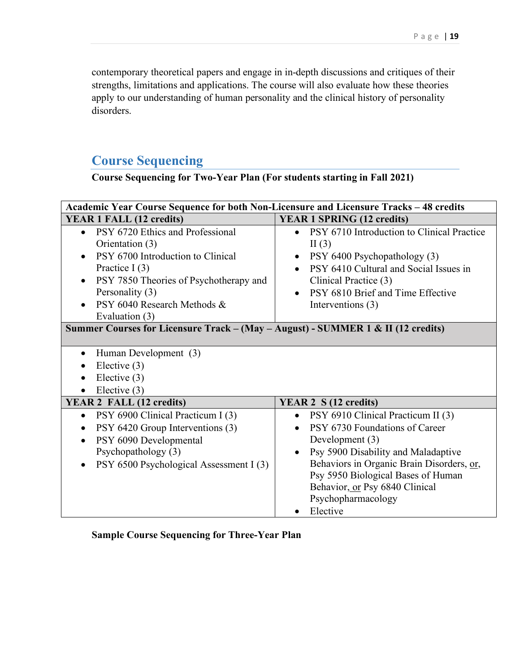contemporary theoretical papers and engage in in-depth discussions and critiques of their strengths, limitations and applications. The course will also evaluate how these theories apply to our understanding of human personality and the clinical history of personality disorders.

# <span id="page-18-0"></span>**Course Sequencing**

**Course Sequencing for Two-Year Plan (For students starting in Fall 2021)**

| Academic Year Course Sequence for both Non-Licensure and Licensure Tracks - 48 credits |                                                         |  |  |  |
|----------------------------------------------------------------------------------------|---------------------------------------------------------|--|--|--|
| <b>YEAR 1 FALL (12 credits)</b>                                                        | <b>YEAR 1 SPRING (12 credits)</b>                       |  |  |  |
| PSY 6720 Ethics and Professional                                                       | PSY 6710 Introduction to Clinical Practice<br>$\bullet$ |  |  |  |
| Orientation (3)                                                                        | II $(3)$                                                |  |  |  |
| PSY 6700 Introduction to Clinical                                                      | PSY 6400 Psychopathology (3)<br>$\bullet$               |  |  |  |
| Practice I $(3)$                                                                       | PSY 6410 Cultural and Social Issues in                  |  |  |  |
| PSY 7850 Theories of Psychotherapy and<br>$\bullet$                                    | Clinical Practice (3)                                   |  |  |  |
| Personality (3)                                                                        | PSY 6810 Brief and Time Effective<br>$\bullet$          |  |  |  |
| PSY 6040 Research Methods &                                                            | Interventions (3)                                       |  |  |  |
| Evaluation (3)                                                                         |                                                         |  |  |  |
| Summer Courses for Licensure Track - (May - August) - SUMMER 1 & II (12 credits)       |                                                         |  |  |  |
| Human Development (3)<br>Elective $(3)$<br>Elective $(3)$<br>Elective $(3)$            |                                                         |  |  |  |
| YEAR 2 FALL (12 credits)                                                               | YEAR 2 S (12 credits)                                   |  |  |  |
| PSY 6900 Clinical Practicum I (3)<br>$\bullet$                                         | PSY 6910 Clinical Practicum II (3)<br>$\bullet$         |  |  |  |
| PSY 6420 Group Interventions (3)                                                       | PSY 6730 Foundations of Career<br>$\bullet$             |  |  |  |
| PSY 6090 Developmental                                                                 | Development (3)                                         |  |  |  |
| Psychopathology (3)                                                                    | Psy 5900 Disability and Maladaptive<br>$\bullet$        |  |  |  |
| PSY 6500 Psychological Assessment I (3)                                                | Behaviors in Organic Brain Disorders, or,               |  |  |  |
|                                                                                        | Psy 5950 Biological Bases of Human                      |  |  |  |
|                                                                                        | Behavior, or Psy 6840 Clinical                          |  |  |  |
|                                                                                        | Psychopharmacology                                      |  |  |  |
|                                                                                        | Elective                                                |  |  |  |

**Sample Course Sequencing for Three-Year Plan**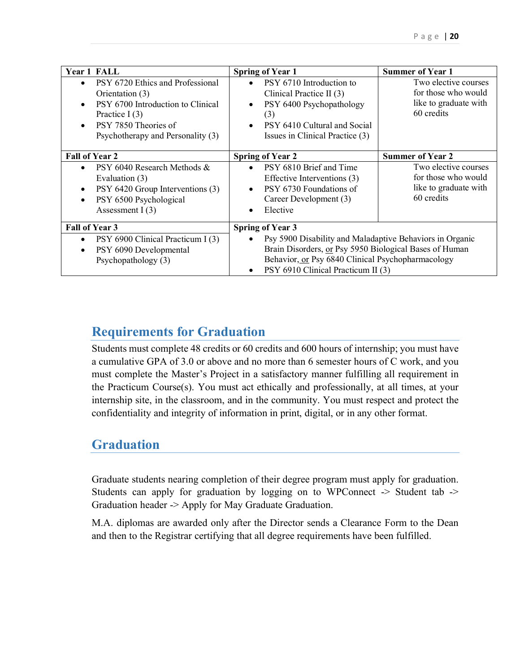| <b>Year 1 FALL</b>                                                                                                                                                                                  | <b>Spring of Year 1</b>                                                                                                                                                                                                                                            | <b>Summer of Year 1</b>                                                            |
|-----------------------------------------------------------------------------------------------------------------------------------------------------------------------------------------------------|--------------------------------------------------------------------------------------------------------------------------------------------------------------------------------------------------------------------------------------------------------------------|------------------------------------------------------------------------------------|
| PSY 6720 Ethics and Professional<br>Orientation (3)<br>PSY 6700 Introduction to Clinical<br>$\bullet$<br>Practice I $(3)$<br>PSY 7850 Theories of<br>$\bullet$<br>Psychotherapy and Personality (3) | PSY 6710 Introduction to<br>$\bullet$<br>Clinical Practice II (3)<br>PSY 6400 Psychopathology<br>$\bullet$<br>(3)<br>PSY 6410 Cultural and Social<br>$\bullet$<br>Issues in Clinical Practice (3)                                                                  | Two elective courses<br>for those who would<br>like to graduate with<br>60 credits |
| <b>Fall of Year 2</b>                                                                                                                                                                               | <b>Spring of Year 2</b>                                                                                                                                                                                                                                            | <b>Summer of Year 2</b>                                                            |
| PSY 6040 Research Methods &<br>Evaluation (3)<br>PSY 6420 Group Interventions (3)<br>$\bullet$<br>PSY 6500 Psychological<br>$\bullet$<br>Assessment $I(3)$                                          | PSY 6810 Brief and Time<br>$\bullet$<br>Effective Interventions (3)<br>PSY 6730 Foundations of<br>$\bullet$<br>Career Development (3)<br>Elective<br>$\bullet$                                                                                                     | Two elective courses<br>for those who would<br>like to graduate with<br>60 credits |
| <b>Fall of Year 3</b><br>PSY 6900 Clinical Practicum I (3)<br>$\bullet$<br>PSY 6090 Developmental<br>$\bullet$<br>Psychopathology (3)                                                               | <b>Spring of Year 3</b><br>Psy 5900 Disability and Maladaptive Behaviors in Organic<br>$\bullet$<br>Brain Disorders, or Psy 5950 Biological Bases of Human<br>Behavior, or Psy 6840 Clinical Psychopharmacology<br>PSY 6910 Clinical Practicum II (3)<br>$\bullet$ |                                                                                    |

## <span id="page-19-0"></span>**Requirements for Graduation**

Students must complete 48 credits or 60 credits and 600 hours of internship; you must have a cumulative GPA of 3.0 or above and no more than 6 semester hours of C work, and you must complete the Master's Project in a satisfactory manner fulfilling all requirement in the Practicum Course(s). You must act ethically and professionally, at all times, at your internship site, in the classroom, and in the community. You must respect and protect the confidentiality and integrity of information in print, digital, or in any other format.

## <span id="page-19-1"></span>**Graduation**

Graduate students nearing completion of their degree program must apply for graduation. Students can apply for graduation by logging on to WPConnect -> Student tab -> Graduation header -> Apply for May Graduate Graduation.

M.A. diplomas are awarded only after the Director sends a Clearance Form to the Dean and then to the Registrar certifying that all degree requirements have been fulfilled.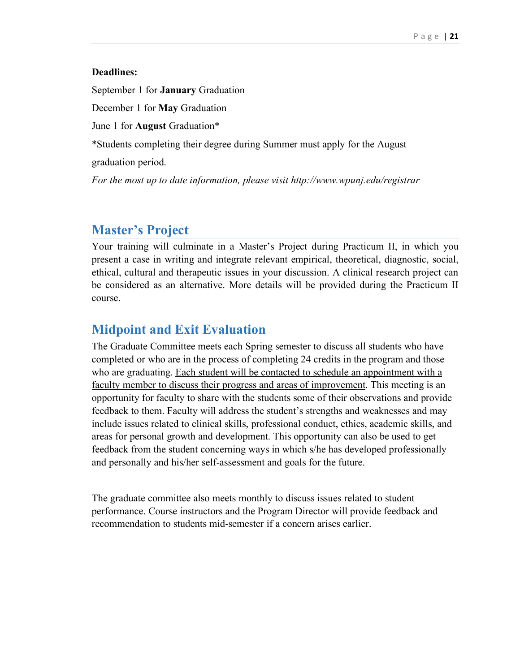### **Deadlines:**

September 1 for **January** Graduation

December 1 for **May** Graduation

June 1 for **August** Graduation\*

\*Students completing their degree during Summer must apply for the August

graduation period.

*For the most up to date information, please visit http://www.wpunj.edu/registrar* 

## <span id="page-20-0"></span>**Master's Project**

Your training will culminate in a Master's Project during Practicum II, in which you present a case in writing and integrate relevant empirical, theoretical, diagnostic, social, ethical, cultural and therapeutic issues in your discussion. A clinical research project can be considered as an alternative. More details will be provided during the Practicum II course.

## <span id="page-20-1"></span>**Midpoint and Exit Evaluation**

The Graduate Committee meets each Spring semester to discuss all students who have completed or who are in the process of completing 24 credits in the program and those who are graduating. Each student will be contacted to schedule an appointment with a faculty member to discuss their progress and areas of improvement. This meeting is an opportunity for faculty to share with the students some of their observations and provide feedback to them. Faculty will address the student's strengths and weaknesses and may include issues related to clinical skills, professional conduct, ethics, academic skills, and areas for personal growth and development. This opportunity can also be used to get feedback from the student concerning ways in which s/he has developed professionally and personally and his/her self-assessment and goals for the future.

The graduate committee also meets monthly to discuss issues related to student performance. Course instructors and the Program Director will provide feedback and recommendation to students mid-semester if a concern arises earlier.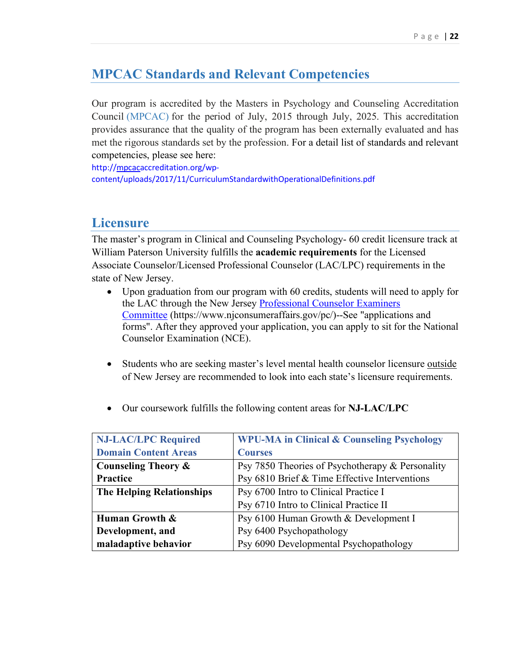## <span id="page-21-0"></span>**MPCAC Standards and Relevant Competencies**

Our program is accredited by the Masters in Psychology and Counseling Accreditation Council [\(MPCAC\)](http://mpcacaccreditation.org/) for the period of July, 2015 through July, 2025. This accreditation provides assurance that the quality of the program has been externally evaluated and has met the rigorous standards set by the profession. For a detail list of standards and relevant competencies, please see here:

[http://mpcacaccreditation.org/wp](https://nam11.safelinks.protection.outlook.com/?url=http%3A%2F%2Fmpcacaccreditation.org%2Fwp-content%2Fuploads%2F2017%2F11%2FCurriculumStandardwithOperationalDefinitions.pdf&data=04%7C01%7CMAP%40wpunj.edu%7Cf09b3dac3a774a74f34608d95c0ecced%7C74540637643546cc87a46d38efb78538%7C0%7C0%7C637642040894562419%7CUnknown%7CTWFpbGZsb3d8eyJWIjoiMC4wLjAwMDAiLCJQIjoiV2luMzIiLCJBTiI6Ik1haWwiLCJXVCI6Mn0%3D%7C1000&sdata=IMZoL5gG%2FN7EYegih3ZaAaO3njuEizZSi6tBbXUzJ%2BU%3D&reserved=0)[content/uploads/2017/11/CurriculumStandardwithOperationalDefinitions.pdf](https://nam11.safelinks.protection.outlook.com/?url=http%3A%2F%2Fmpcacaccreditation.org%2Fwp-content%2Fuploads%2F2017%2F11%2FCurriculumStandardwithOperationalDefinitions.pdf&data=04%7C01%7CMAP%40wpunj.edu%7Cf09b3dac3a774a74f34608d95c0ecced%7C74540637643546cc87a46d38efb78538%7C0%7C0%7C637642040894562419%7CUnknown%7CTWFpbGZsb3d8eyJWIjoiMC4wLjAwMDAiLCJQIjoiV2luMzIiLCJBTiI6Ik1haWwiLCJXVCI6Mn0%3D%7C1000&sdata=IMZoL5gG%2FN7EYegih3ZaAaO3njuEizZSi6tBbXUzJ%2BU%3D&reserved=0)

## <span id="page-21-1"></span>**Licensure**

The master's program in Clinical and Counseling Psychology- 60 credit licensure track at William Paterson University fulfills the **academic requirements** for the Licensed Associate Counselor/Licensed Professional Counselor (LAC/LPC) requirements in the state of New Jersey.

- Upon graduation from our program with 60 credits, students will need to apply for the LAC through the New Jersey [Professional](https://www.njconsumeraffairs.gov/pc/Pages/default.aspx) Counselor Examiners [Committee](https://www.njconsumeraffairs.gov/pc/Pages/default.aspx) (https://www.njconsumeraffairs.gov/pc/)--See "applications and forms". After they approved your application, you can apply to sit for the National Counselor Examination (NCE).
- Students who are seeking master's level mental health counselor licensure outside of New Jersey are recommended to look into each state's licensure requirements.

| <b>NJ-LAC/LPC Required</b>                                                | <b>WPU-MA in Clinical &amp; Counseling Psychology</b> |  |
|---------------------------------------------------------------------------|-------------------------------------------------------|--|
| <b>Domain Content Areas</b>                                               | <b>Courses</b>                                        |  |
| <b>Counseling Theory &amp;</b>                                            | Psy 7850 Theories of Psychotherapy & Personality      |  |
| Practice                                                                  | Psy 6810 Brief & Time Effective Interventions         |  |
| <b>The Helping Relationships</b><br>Psy 6700 Intro to Clinical Practice I |                                                       |  |
|                                                                           | Psy 6710 Intro to Clinical Practice II                |  |
| Human Growth &                                                            | Psy 6100 Human Growth & Development I                 |  |
| Development, and                                                          | Psy 6400 Psychopathology                              |  |
| maladaptive behavior                                                      | Psy 6090 Developmental Psychopathology                |  |

• Our coursework fulfills the following content areas for **NJ-LAC/LPC**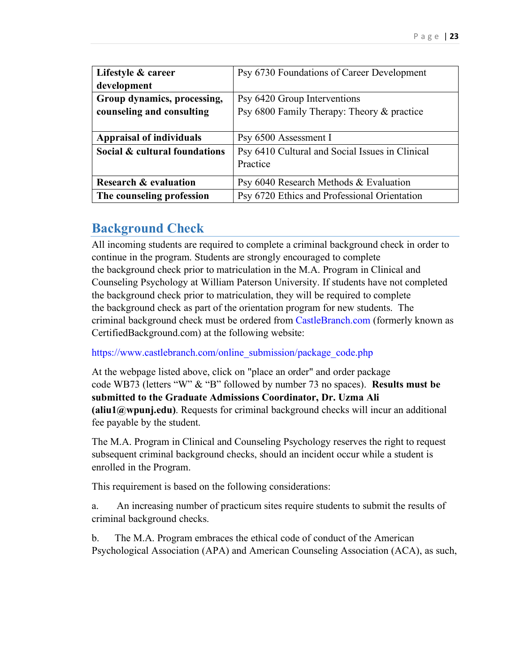| Lifestyle & career               | Psy 6730 Foundations of Career Development      |  |
|----------------------------------|-------------------------------------------------|--|
| development                      |                                                 |  |
| Group dynamics, processing,      | Psy 6420 Group Interventions                    |  |
| counseling and consulting        | Psy 6800 Family Therapy: Theory & practice      |  |
|                                  |                                                 |  |
| <b>Appraisal of individuals</b>  | Psy 6500 Assessment I                           |  |
| Social & cultural foundations    | Psy 6410 Cultural and Social Issues in Clinical |  |
|                                  | Practice                                        |  |
|                                  |                                                 |  |
| <b>Research &amp; evaluation</b> | Psy 6040 Research Methods & Evaluation          |  |
| The counseling profession        | Psy 6720 Ethics and Professional Orientation    |  |

## <span id="page-22-0"></span>**Background Check**

All incoming students are required to complete a criminal background check in order to continue in the program. Students are strongly encouraged to complete the background check prior to matriculation in the M.A. Program in Clinical and Counseling Psychology at William Paterson University. If students have not completed the background check prior to matriculation, they will be required to complete the background check as part of the orientation program for new students. The criminal background check must be ordered from [CastleBranch.com](https://www.castlebranch.com/) (formerly known as CertifiedBackground.com) at the following website:

[https://www.castlebranch.com/online\\_submission/package\\_code.php](https://www.castlebranch.com/online_submission/package_code.php)

At the webpage listed above, click on "place an order" and order package code WB73 (letters "W" & "B" followed by number 73 no spaces). **Results must be submitted to the Graduate Admissions Coordinator, Dr. Uzma Ali (aliu1@wpunj.edu)**. Requests for criminal background checks will incur an additional fee payable by the student.

The M.A. Program in Clinical and Counseling Psychology reserves the right to request subsequent criminal background checks, should an incident occur while a student is enrolled in the Program.

This requirement is based on the following considerations:

a. An increasing number of practicum sites require students to submit the results of criminal background checks.

b. The M.A. Program embraces the ethical code of conduct of the American Psychological Association (APA) and American Counseling Association (ACA), as such,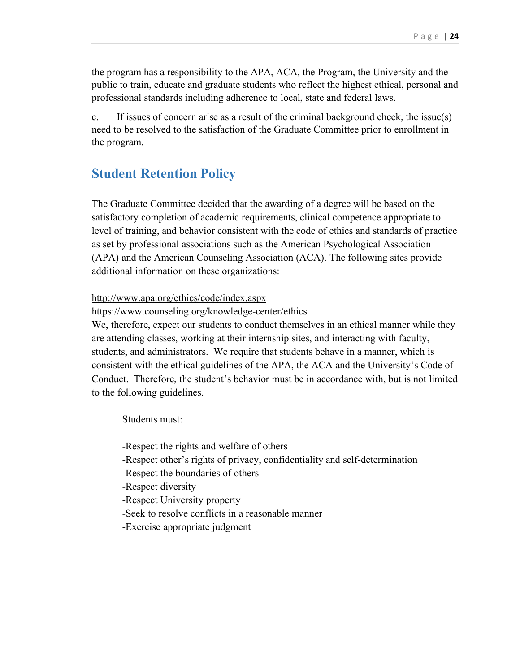the program has a responsibility to the APA, ACA, the Program, the University and the public to train, educate and graduate students who reflect the highest ethical, personal and professional standards including adherence to local, state and federal laws.

c. If issues of concern arise as a result of the criminal background check, the issue(s) need to be resolved to the satisfaction of the Graduate Committee prior to enrollment in the program.

## <span id="page-23-0"></span>**Student Retention Policy**

The Graduate Committee decided that the awarding of a degree will be based on the satisfactory completion of academic requirements, clinical competence appropriate to level of training, and behavior consistent with the code of ethics and standards of practice as set by professional associations such as the American Psychological Association (APA) and the American Counseling Association (ACA). The following sites provide additional information on these organizations:

#### http://www.apa.org/ethics/code/index.aspx

https://www.counseling.org/knowledge-center/ethics

We, therefore, expect our students to conduct themselves in an ethical manner while they are attending classes, working at their internship sites, and interacting with faculty, students, and administrators. We require that students behave in a manner, which is consistent with the ethical guidelines of the APA, the ACA and the University's Code of Conduct. Therefore, the student's behavior must be in accordance with, but is not limited to the following guidelines.

Students must:

-Respect the rights and welfare of others

- -Respect other's rights of privacy, confidentiality and self-determination
- -Respect the boundaries of others
- -Respect diversity
- -Respect University property
- -Seek to resolve conflicts in a reasonable manner
- -Exercise appropriate judgment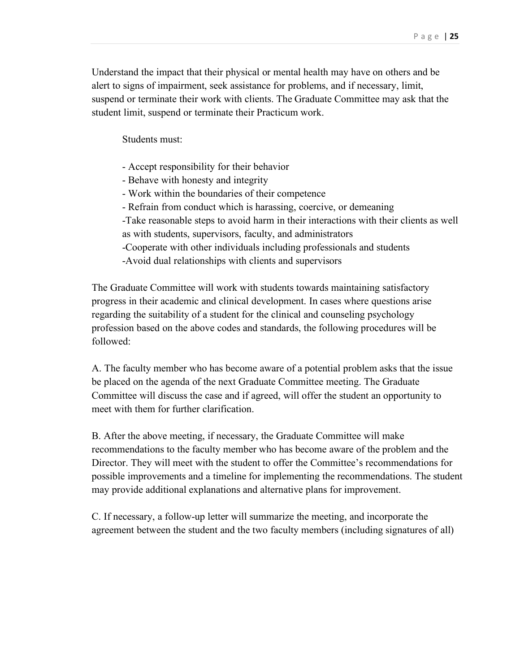Understand the impact that their physical or mental health may have on others and be alert to signs of impairment, seek assistance for problems, and if necessary, limit, suspend or terminate their work with clients. The Graduate Committee may ask that the student limit, suspend or terminate their Practicum work.

Students must:

- Accept responsibility for their behavior
- Behave with honesty and integrity
- Work within the boundaries of their competence
- Refrain from conduct which is harassing, coercive, or demeaning
- -Take reasonable steps to avoid harm in their interactions with their clients as well as with students, supervisors, faculty, and administrators
- -Cooperate with other individuals including professionals and students
- -Avoid dual relationships with clients and supervisors

The Graduate Committee will work with students towards maintaining satisfactory progress in their academic and clinical development. In cases where questions arise regarding the suitability of a student for the clinical and counseling psychology profession based on the above codes and standards, the following procedures will be followed:

A. The faculty member who has become aware of a potential problem asks that the issue be placed on the agenda of the next Graduate Committee meeting. The Graduate Committee will discuss the case and if agreed, will offer the student an opportunity to meet with them for further clarification.

B. After the above meeting, if necessary, the Graduate Committee will make recommendations to the faculty member who has become aware of the problem and the Director. They will meet with the student to offer the Committee's recommendations for possible improvements and a timeline for implementing the recommendations. The student may provide additional explanations and alternative plans for improvement.

C. If necessary, a follow-up letter will summarize the meeting, and incorporate the agreement between the student and the two faculty members (including signatures of all)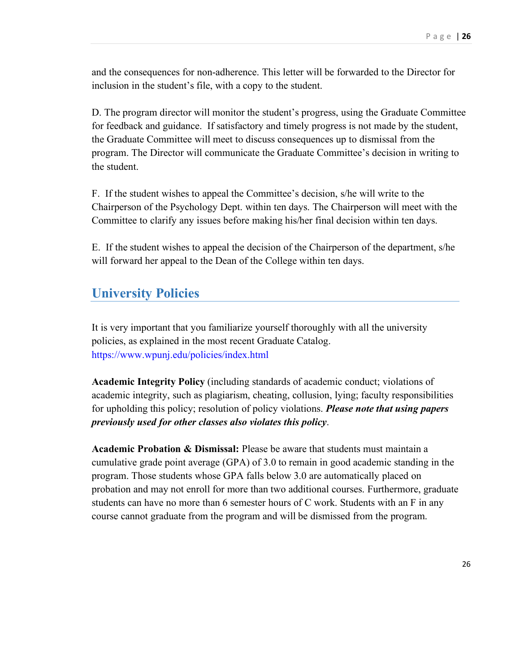and the consequences for non-adherence. This letter will be forwarded to the Director for inclusion in the student's file, with a copy to the student.

D. The program director will monitor the student's progress, using the Graduate Committee for feedback and guidance. If satisfactory and timely progress is not made by the student, the Graduate Committee will meet to discuss consequences up to dismissal from the program. The Director will communicate the Graduate Committee's decision in writing to the student.

F. If the student wishes to appeal the Committee's decision, s/he will write to the Chairperson of the Psychology Dept. within ten days. The Chairperson will meet with the Committee to clarify any issues before making his/her final decision within ten days.

E. If the student wishes to appeal the decision of the Chairperson of the department, s/he will forward her appeal to the Dean of the College within ten days.

## <span id="page-25-0"></span>**University Policies**

It is very important that you familiarize yourself thoroughly with all the university policies, as explained in the most recent Graduate Catalog. <https://www.wpunj.edu/policies/index.html>

**Academic Integrity Policy** (including standards of academic conduct; violations of academic integrity, such as plagiarism, cheating, collusion, lying; faculty responsibilities for upholding this policy; resolution of policy violations. *Please note that using papers previously used for other classes also violates this policy*.

**Academic Probation & Dismissal:** Please be aware that students must maintain a cumulative grade point average (GPA) of 3.0 to remain in good academic standing in the program. Those students whose GPA falls below 3.0 are automatically placed on probation and may not enroll for more than two additional courses. Furthermore, graduate students can have no more than 6 semester hours of C work. Students with an F in any course cannot graduate from the program and will be dismissed from the program.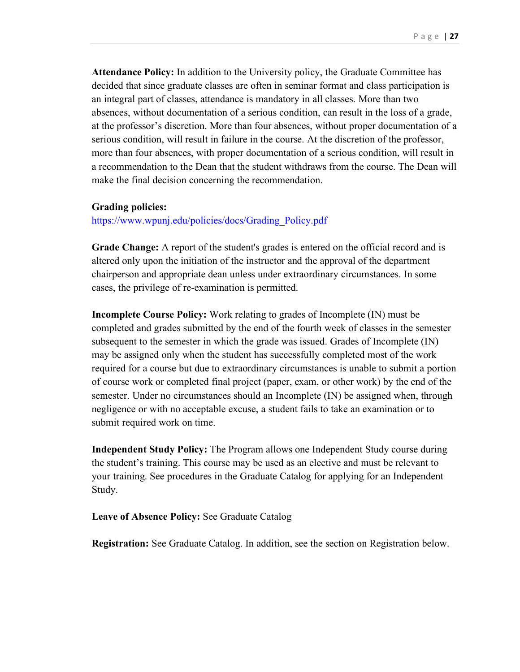**Attendance Policy:** In addition to the University policy, the Graduate Committee has decided that since graduate classes are often in seminar format and class participation is an integral part of classes, attendance is mandatory in all classes. More than two absences, without documentation of a serious condition, can result in the loss of a grade, at the professor's discretion. More than four absences, without proper documentation of a serious condition, will result in failure in the course. At the discretion of the professor, more than four absences, with proper documentation of a serious condition, will result in a recommendation to the Dean that the student withdraws from the course. The Dean will make the final decision concerning the recommendation.

#### **Grading policies:**

[https://www.wpunj.edu/policies/docs/Grading\\_Policy.pdf](https://www.wpunj.edu/policies/docs/Grading_Policy.pdf)

**Grade Change:** A report of the student's grades is entered on the official record and is altered only upon the initiation of the instructor and the approval of the department chairperson and appropriate dean unless under extraordinary circumstances. In some cases, the privilege of re-examination is permitted.

**Incomplete Course Policy:** Work relating to grades of Incomplete (IN) must be completed and grades submitted by the end of the fourth week of classes in the semester subsequent to the semester in which the grade was issued. Grades of Incomplete (IN) may be assigned only when the student has successfully completed most of the work required for a course but due to extraordinary circumstances is unable to submit a portion of course work or completed final project (paper, exam, or other work) by the end of the semester. Under no circumstances should an Incomplete (IN) be assigned when, through negligence or with no acceptable excuse, a student fails to take an examination or to submit required work on time.

**Independent Study Policy:** The Program allows one Independent Study course during the student's training. This course may be used as an elective and must be relevant to your training. See procedures in the Graduate Catalog for applying for an Independent Study.

**Leave of Absence Policy:** See Graduate Catalog

**Registration:** See Graduate Catalog. In addition, see the section on Registration below.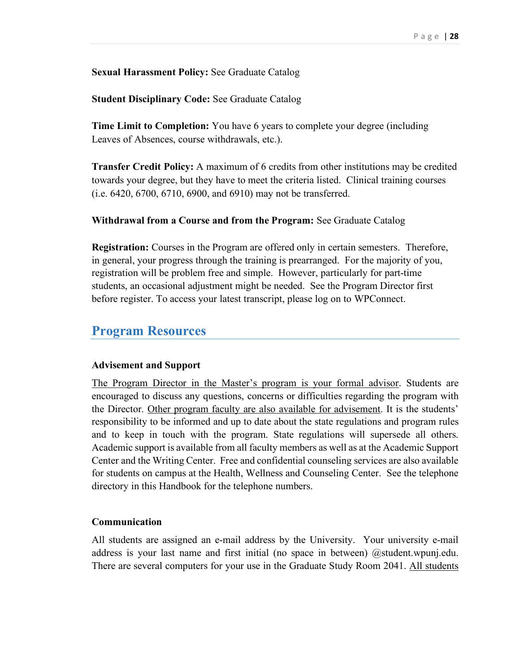### **Sexual Harassment Policy:** See Graduate Catalog

### **Student Disciplinary Code:** See Graduate Catalog

**Time Limit to Completion:** You have 6 years to complete your degree (including Leaves of Absences, course withdrawals, etc.).

**Transfer Credit Policy:** A maximum of 6 credits from other institutions may be credited towards your degree, but they have to meet the criteria listed. Clinical training courses (i.e. 6420, 6700, 6710, 6900, and 6910) may not be transferred.

#### **Withdrawal from a Course and from the Program:** See Graduate Catalog

**Registration:** Courses in the Program are offered only in certain semesters. Therefore, in general, your progress through the training is prearranged. For the majority of you, registration will be problem free and simple. However, particularly for part-time students, an occasional adjustment might be needed. See the Program Director first before register. To access your latest transcript, please log on to WPConnect.

## <span id="page-27-0"></span>**Program Resources**

#### **Advisement and Support**

The Program Director in the Master's program is your formal advisor. Students are encouraged to discuss any questions, concerns or difficulties regarding the program with the Director. Other program faculty are also available for advisement. It is the students' responsibility to be informed and up to date about the state regulations and program rules and to keep in touch with the program. State regulations will supersede all others. Academic support is available from all faculty members as well as at the Academic Support Center and the Writing Center. Free and confidential counseling services are also available for students on campus at the Health, Wellness and Counseling Center. See the telephone directory in this Handbook for the telephone numbers.

#### **Communication**

All students are assigned an e-mail address by the University. Your university e-mail address is your last name and first initial (no space in between) @student.wpunj.edu. There are several computers for your use in the Graduate Study Room 2041. All students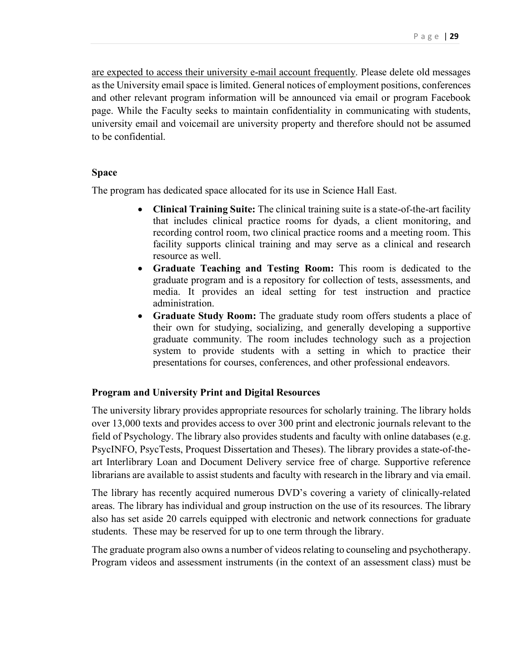are expected to access their university e-mail account frequently. Please delete old messages as the University email space is limited. General notices of employment positions, conferences and other relevant program information will be announced via email or program Facebook page. While the Faculty seeks to maintain confidentiality in communicating with students, university email and voicemail are university property and therefore should not be assumed to be confidential.

#### **Space**

The program has dedicated space allocated for its use in Science Hall East.

- **Clinical Training Suite:** The clinical training suite is a state-of-the-art facility that includes clinical practice rooms for dyads, a client monitoring, and recording control room, two clinical practice rooms and a meeting room. This facility supports clinical training and may serve as a clinical and research resource as well.
- **Graduate Teaching and Testing Room:** This room is dedicated to the graduate program and is a repository for collection of tests, assessments, and media. It provides an ideal setting for test instruction and practice administration.
- **Graduate Study Room:** The graduate study room offers students a place of their own for studying, socializing, and generally developing a supportive graduate community. The room includes technology such as a projection system to provide students with a setting in which to practice their presentations for courses, conferences, and other professional endeavors.

#### **Program and University Print and Digital Resources**

The university library provides appropriate resources for scholarly training. The library holds over 13,000 texts and provides access to over 300 print and electronic journals relevant to the field of Psychology. The library also provides students and faculty with online databases (e.g. PsycINFO, PsycTests, Proquest Dissertation and Theses). The library provides a state-of-theart Interlibrary Loan and Document Delivery service free of charge. Supportive reference librarians are available to assist students and faculty with research in the library and via email.

The library has recently acquired numerous DVD's covering a variety of clinically-related areas. The library has individual and group instruction on the use of its resources. The library also has set aside 20 carrels equipped with electronic and network connections for graduate students. These may be reserved for up to one term through the library.

The graduate program also owns a number of videos relating to counseling and psychotherapy. Program videos and assessment instruments (in the context of an assessment class) must be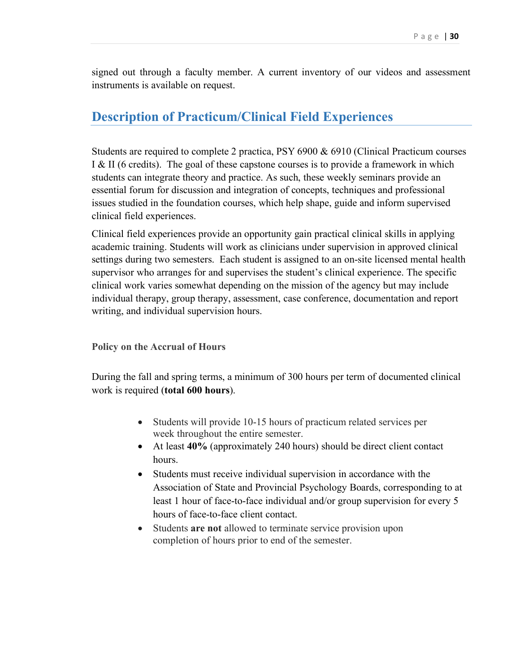signed out through a faculty member. A current inventory of our videos and assessment instruments is available on request.

## <span id="page-29-0"></span>**Description of Practicum/Clinical Field Experiences**

Students are required to complete 2 practica, PSY 6900 & 6910 (Clinical Practicum courses I & II (6 credits). The goal of these capstone courses is to provide a framework in which students can integrate theory and practice. As such, these weekly seminars provide an essential forum for discussion and integration of concepts, techniques and professional issues studied in the foundation courses, which help shape, guide and inform supervised clinical field experiences.

Clinical field experiences provide an opportunity gain practical clinical skills in applying academic training. Students will work as clinicians under supervision in approved clinical settings during two semesters. Each student is assigned to an on-site licensed mental health supervisor who arranges for and supervises the student's clinical experience. The specific clinical work varies somewhat depending on the mission of the agency but may include individual therapy, group therapy, assessment, case conference, documentation and report writing, and individual supervision hours.

<span id="page-29-1"></span>**Policy on the Accrual of Hours**

During the fall and spring terms, a minimum of 300 hours per term of documented clinical work is required (**total 600 hours**).

- Students will provide 10-15 hours of practicum related services per week throughout the entire semester.
- At least **40%** (approximately 240 hours) should be direct client contact hours.
- Students must receive individual supervision in accordance with the Association of State and Provincial Psychology Boards, corresponding to at least 1 hour of face-to-face individual and/or group supervision for every 5 hours of face-to-face client contact.
- Students **are not** allowed to terminate service provision upon completion of hours prior to end of the semester.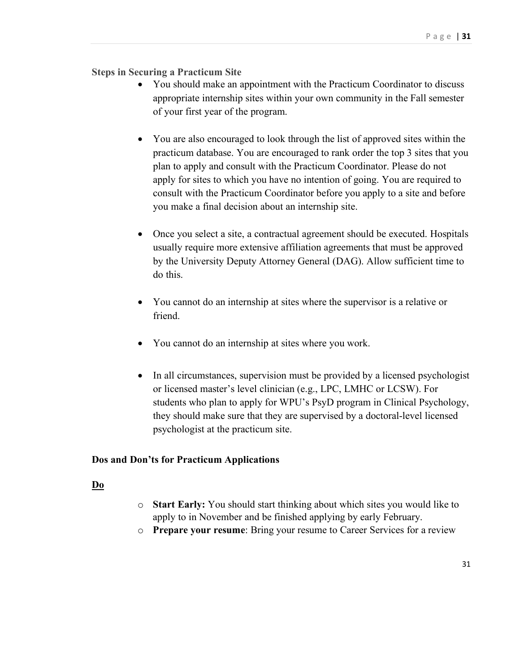## <span id="page-30-0"></span>**Steps in Securing a Practicum Site**

- You should make an appointment with the Practicum Coordinator to discuss appropriate internship sites within your own community in the Fall semester of your first year of the program.
- You are also encouraged to look through the list of approved sites within the practicum database. You are encouraged to rank order the top 3 sites that you plan to apply and consult with the Practicum Coordinator. Please do not apply for sites to which you have no intention of going. You are required to consult with the Practicum Coordinator before you apply to a site and before you make a final decision about an internship site.
- Once you select a site, a contractual agreement should be executed. Hospitals usually require more extensive affiliation agreements that must be approved by the University Deputy Attorney General (DAG). Allow sufficient time to do this.
- You cannot do an internship at sites where the supervisor is a relative or friend.
- You cannot do an internship at sites where you work.
- In all circumstances, supervision must be provided by a licensed psychologist or licensed master's level clinician (e.g., LPC, LMHC or LCSW). For students who plan to apply for WPU's PsyD program in Clinical Psychology, they should make sure that they are supervised by a doctoral-level licensed psychologist at the practicum site.

#### <span id="page-30-1"></span>**Dos and Don'ts for Practicum Applications**

#### **Do**

- o **Start Early:** You should start thinking about which sites you would like to apply to in November and be finished applying by early February.
- o **Prepare your resume**: Bring your resume to Career Services for a review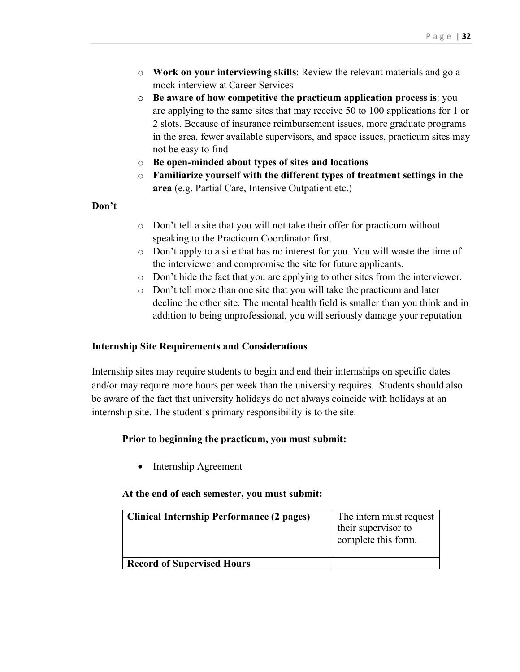- o **Work on your interviewing skills**: Review the relevant materials and go a mock interview at Career Services
- o **Be aware of how competitive the practicum application process is**: you are applying to the same sites that may receive 50 to 100 applications for 1 or 2 slots. Because of insurance reimbursement issues, more graduate programs in the area, fewer available supervisors, and space issues, practicum sites may not be easy to find
- o **Be open-minded about types of sites and locations**
- o **Familiarize yourself with the different types of treatment settings in the area** (e.g. Partial Care, Intensive Outpatient etc.)

## **Don't**

- o Don't tell a site that you will not take their offer for practicum without speaking to the Practicum Coordinator first.
- o Don't apply to a site that has no interest for you. You will waste the time of the interviewer and compromise the site for future applicants.
- o Don't hide the fact that you are applying to other sites from the interviewer.
- o Don't tell more than one site that you will take the practicum and later decline the other site. The mental health field is smaller than you think and in addition to being unprofessional, you will seriously damage your reputation

#### <span id="page-31-0"></span>**Internship Site Requirements and Considerations**

Internship sites may require students to begin and end their internships on specific dates and/or may require more hours per week than the university requires. Students should also be aware of the fact that university holidays do not always coincide with holidays at an internship site. The student's primary responsibility is to the site.

## **Prior to beginning the practicum, you must submit:**

• Internship Agreement

#### **At the end of each semester, you must submit:**

| Clinical Internship Performance (2 pages) | The intern must request<br>their supervisor to<br>complete this form. |
|-------------------------------------------|-----------------------------------------------------------------------|
| <b>Record of Supervised Hours</b>         |                                                                       |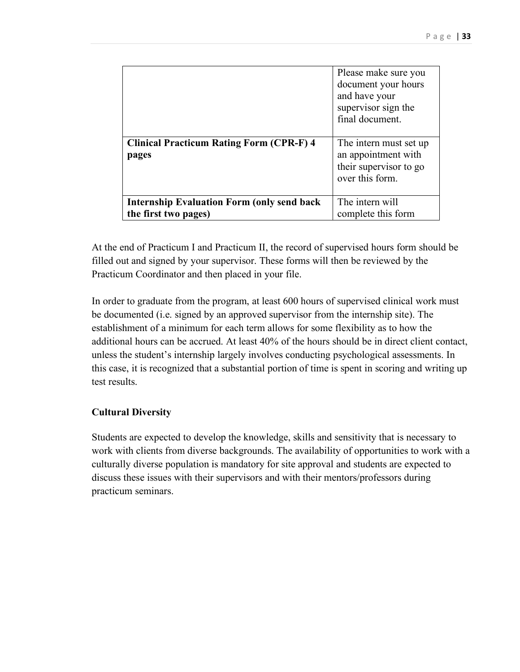|                                                                            | Please make sure you<br>document your hours<br>and have your<br>supervisor sign the<br>final document. |
|----------------------------------------------------------------------------|--------------------------------------------------------------------------------------------------------|
| <b>Clinical Practicum Rating Form (CPR-F) 4</b><br>pages                   | The intern must set up<br>an appointment with<br>their supervisor to go<br>over this form.             |
| <b>Internship Evaluation Form (only send back)</b><br>the first two pages) | The intern will<br>complete this form                                                                  |

At the end of Practicum I and Practicum II, the record of supervised hours form should be filled out and signed by your supervisor. These forms will then be reviewed by the Practicum Coordinator and then placed in your file.

In order to graduate from the program, at least 600 hours of supervised clinical work must be documented (i.e. signed by an approved supervisor from the internship site). The establishment of a minimum for each term allows for some flexibility as to how the additional hours can be accrued. At least 40% of the hours should be in direct client contact, unless the student's internship largely involves conducting psychological assessments. In this case, it is recognized that a substantial portion of time is spent in scoring and writing up test results.

## <span id="page-32-0"></span>**Cultural Diversity**

Students are expected to develop the knowledge, skills and sensitivity that is necessary to work with clients from diverse backgrounds. The availability of opportunities to work with a culturally diverse population is mandatory for site approval and students are expected to discuss these issues with their supervisors and with their mentors/professors during practicum seminars.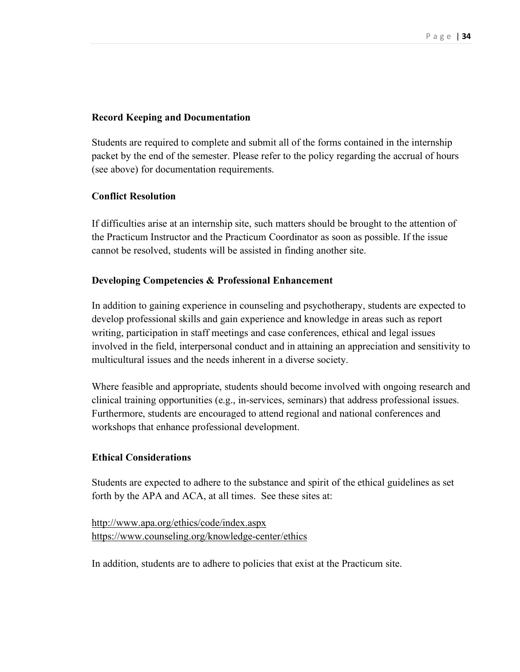#### <span id="page-33-0"></span>**Record Keeping and Documentation**

Students are required to complete and submit all of the forms contained in the internship packet by the end of the semester. Please refer to the policy regarding the accrual of hours (see above) for documentation requirements.

#### **Conflict Resolution**

If difficulties arise at an internship site, such matters should be brought to the attention of the Practicum Instructor and the Practicum Coordinator as soon as possible. If the issue cannot be resolved, students will be assisted in finding another site.

#### <span id="page-33-1"></span>**Developing Competencies & Professional Enhancement**

In addition to gaining experience in counseling and psychotherapy, students are expected to develop professional skills and gain experience and knowledge in areas such as report writing, participation in staff meetings and case conferences, ethical and legal issues involved in the field, interpersonal conduct and in attaining an appreciation and sensitivity to multicultural issues and the needs inherent in a diverse society.

Where feasible and appropriate, students should become involved with ongoing research and clinical training opportunities (e.g., in-services, seminars) that address professional issues. Furthermore, students are encouraged to attend regional and national conferences and workshops that enhance professional development.

#### <span id="page-33-2"></span>**Ethical Considerations**

Students are expected to adhere to the substance and spirit of the ethical guidelines as set forth by the APA and ACA, at all times. See these sites at:

```
http://www.apa.org/ethics/code/index.aspx 
https://www.counseling.org/knowledge-center/ethics
```
In addition, students are to adhere to policies that exist at the Practicum site.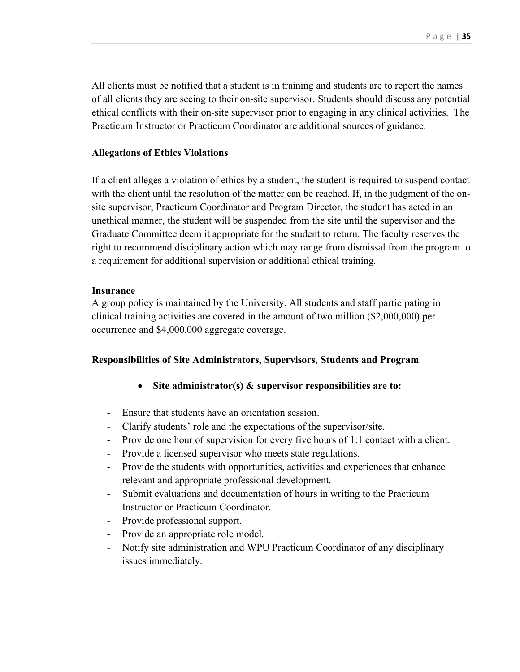All clients must be notified that a student is in training and students are to report the names of all clients they are seeing to their on-site supervisor. Students should discuss any potential ethical conflicts with their on-site supervisor prior to engaging in any clinical activities. The Practicum Instructor or Practicum Coordinator are additional sources of guidance.

#### **Allegations of Ethics Violations**

If a client alleges a violation of ethics by a student, the student is required to suspend contact with the client until the resolution of the matter can be reached. If, in the judgment of the onsite supervisor, Practicum Coordinator and Program Director, the student has acted in an unethical manner, the student will be suspended from the site until the supervisor and the Graduate Committee deem it appropriate for the student to return. The faculty reserves the right to recommend disciplinary action which may range from dismissal from the program to a requirement for additional supervision or additional ethical training.

#### <span id="page-34-0"></span>**Insurance**

A group policy is maintained by the University. All students and staff participating in clinical training activities are covered in the amount of two million (\$2,000,000) per occurrence and \$4,000,000 aggregate coverage.

#### <span id="page-34-1"></span>**Responsibilities of Site Administrators, Supervisors, Students and Program**

- **Site administrator(s) & supervisor responsibilities are to:**
- Ensure that students have an orientation session.
- Clarify students' role and the expectations of the supervisor/site.
- Provide one hour of supervision for every five hours of 1:1 contact with a client.
- Provide a licensed supervisor who meets state regulations.
- Provide the students with opportunities, activities and experiences that enhance relevant and appropriate professional development.
- Submit evaluations and documentation of hours in writing to the Practicum Instructor or Practicum Coordinator.
- Provide professional support.
- Provide an appropriate role model.
- Notify site administration and WPU Practicum Coordinator of any disciplinary issues immediately.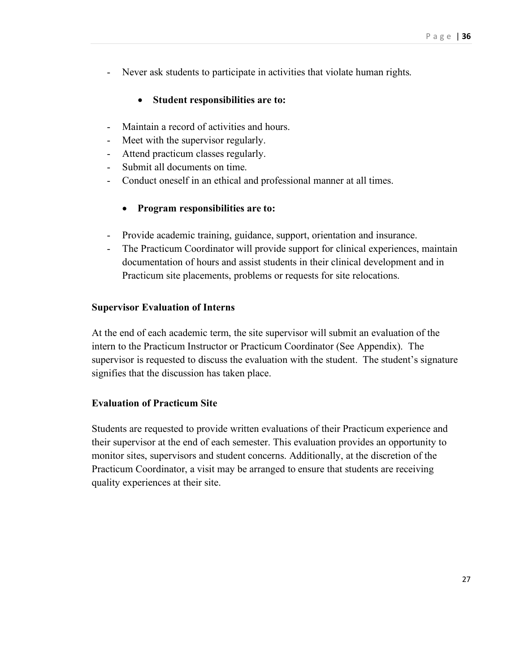- Never ask students to participate in activities that violate human rights.

## • **Student responsibilities are to:**

- Maintain a record of activities and hours.
- Meet with the supervisor regularly.
- Attend practicum classes regularly.
- Submit all documents on time.
- Conduct oneself in an ethical and professional manner at all times.
	- **Program responsibilities are to:**
- Provide academic training, guidance, support, orientation and insurance.
- The Practicum Coordinator will provide support for clinical experiences, maintain documentation of hours and assist students in their clinical development and in Practicum site placements, problems or requests for site relocations.

#### <span id="page-35-0"></span>**Supervisor Evaluation of Interns**

At the end of each academic term, the site supervisor will submit an evaluation of the intern to the Practicum Instructor or Practicum Coordinator (See Appendix). The supervisor is requested to discuss the evaluation with the student. The student's signature signifies that the discussion has taken place.

#### <span id="page-35-1"></span>**Evaluation of Practicum Site**

Students are requested to provide written evaluations of their Practicum experience and their supervisor at the end of each semester. This evaluation provides an opportunity to monitor sites, supervisors and student concerns. Additionally, at the discretion of the Practicum Coordinator, a visit may be arranged to ensure that students are receiving quality experiences at their site.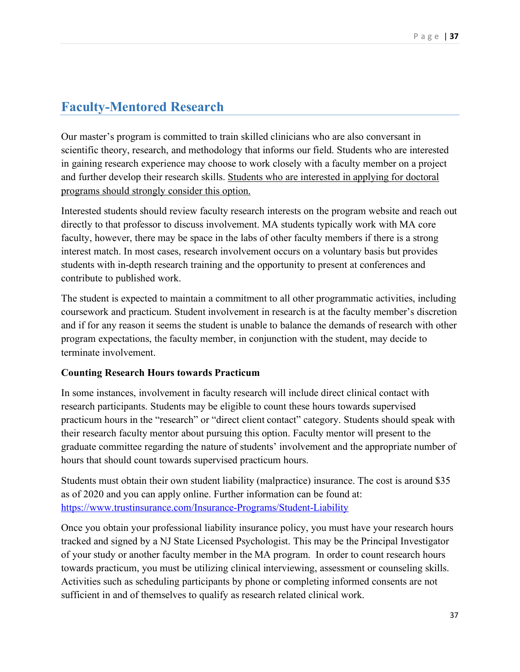## <span id="page-36-0"></span>**Faculty-Mentored Research**

Our master's program is committed to train skilled clinicians who are also conversant in scientific theory, research, and methodology that informs our field. Students who are interested in gaining research experience may choose to work closely with a faculty member on a project and further develop their research skills. Students who are interested in applying for doctoral programs should strongly consider this option.

Interested students should review faculty research interests on the program website and reach out directly to that professor to discuss involvement. MA students typically work with MA core faculty, however, there may be space in the labs of other faculty members if there is a strong interest match. In most cases, research involvement occurs on a voluntary basis but provides students with in-depth research training and the opportunity to present at conferences and contribute to published work.

The student is expected to maintain a commitment to all other programmatic activities, including coursework and practicum. Student involvement in research is at the faculty member's discretion and if for any reason it seems the student is unable to balance the demands of research with other program expectations, the faculty member, in conjunction with the student, may decide to terminate involvement.

## **Counting Research Hours towards Practicum**

In some instances, involvement in faculty research will include direct clinical contact with research participants. Students may be eligible to count these hours towards supervised practicum hours in the "research" or "direct client contact" category. Students should speak with their research faculty mentor about pursuing this option. Faculty mentor will present to the graduate committee regarding the nature of students' involvement and the appropriate number of hours that should count towards supervised practicum hours.

Students must obtain their own student liability (malpractice) insurance. The cost is around \$35 as of 2020 and you can apply online. Further information can be found at: <https://www.trustinsurance.com/Insurance-Programs/Student-Liability>

Once you obtain your professional liability insurance policy, you must have your research hours tracked and signed by a NJ State Licensed Psychologist. This may be the Principal Investigator of your study or another faculty member in the MA program. In order to count research hours towards practicum, you must be utilizing clinical interviewing, assessment or counseling skills. Activities such as scheduling participants by phone or completing informed consents are not sufficient in and of themselves to qualify as research related clinical work.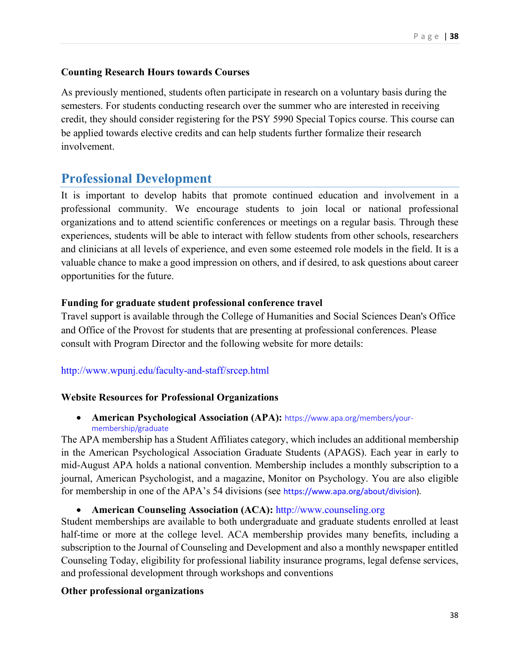## **Counting Research Hours towards Courses**

As previously mentioned, students often participate in research on a voluntary basis during the semesters. For students conducting research over the summer who are interested in receiving credit, they should consider registering for the PSY 5990 Special Topics course. This course can be applied towards elective credits and can help students further formalize their research involvement.

## <span id="page-37-0"></span>**Professional Development**

It is important to develop habits that promote continued education and involvement in a professional community. We encourage students to join local or national professional organizations and to attend scientific conferences or meetings on a regular basis. Through these experiences, students will be able to interact with fellow students from other schools, researchers and clinicians at all levels of experience, and even some esteemed role models in the field. It is a valuable chance to make a good impression on others, and if desired, to ask questions about career opportunities for the future.

## **Funding for graduate student professional conference travel**

Travel support is available through the College of Humanities and Social Sciences Dean's Office and Office of the Provost for students that are presenting at professional conferences. Please consult with Program Director and the following website for more details:

## <http://www.wpunj.edu/faculty-and-staff/srcep.html>

## **Website Resources for Professional Organizations**

• **American Psychological Association (APA):** [https://www.apa.org/members/your](https://www.apa.org/members/your-membership/graduate)[membership/graduate](https://www.apa.org/members/your-membership/graduate)

The APA membership has a Student Affiliates category, which includes an additional membership in the American Psychological Association Graduate Students (APAGS). Each year in early to mid-August APA holds a national convention. Membership includes a monthly subscription to a journal, American Psychologist, and a magazine, Monitor on Psychology. You are also eligible for membership in one of the APA's 54 divisions (see [https://www.apa.org/about/division\)](https://www.apa.org/about/division).

## • **American Counseling Association (ACA):** [http://www.counseling.org](http://www.counseling.org/)

Student memberships are available to both undergraduate and graduate students enrolled at least half-time or more at the college level. ACA membership provides many benefits, including a subscription to the Journal of Counseling and Development and also a monthly newspaper entitled Counseling Today, eligibility for professional liability insurance programs, legal defense services, and professional development through workshops and conventions

#### **Other professional organizations**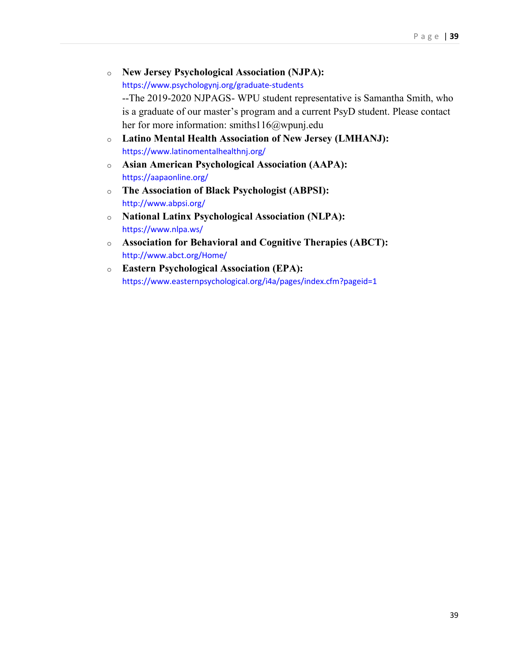- o **New Jersey Psychological Association (NJPA):** <https://www.psychologynj.org/graduate-students> --The 2019-2020 NJPAGS- WPU student representative is Samantha Smith, who is a graduate of our master's program and a current PsyD student. Please contact her for more information: smiths116@wpunj.edu
- o **Latino Mental Health Association of New Jersey (LMHANJ):** <https://www.latinomentalhealthnj.org/>
- o **Asian American Psychological Association (AAPA):** <https://aapaonline.org/>
- o **The Association of Black Psychologist (ABPSI):** <http://www.abpsi.org/>
- o **National Latinx Psychological Association (NLPA):** <https://www.nlpa.ws/>
- o **Association for Behavioral and Cognitive Therapies (ABCT):** <http://www.abct.org/Home/>
- o **Eastern Psychological Association (EPA):** <https://www.easternpsychological.org/i4a/pages/index.cfm?pageid=1>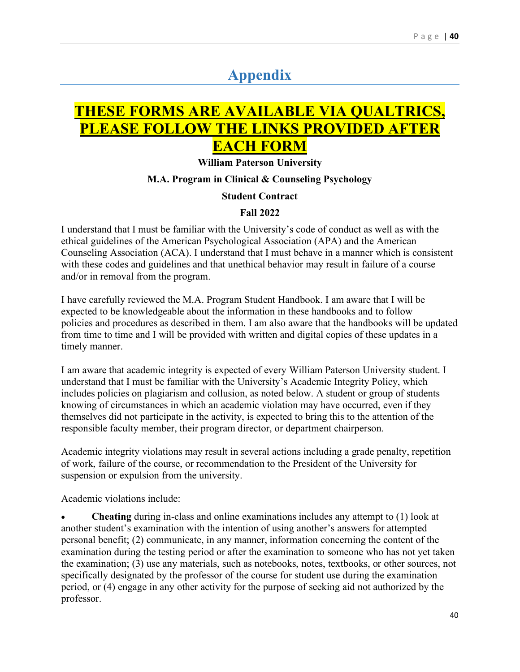# **Appendix**

# <span id="page-39-0"></span>**THESE FORMS ARE AVAILABLE VIA QUALTRICS, PLEASE FOLLOW THE LINKS PROVIDED AFTER EACH FORM**

**William Paterson University**

#### **M.A. Program in Clinical & Counseling Psychology**

#### **Student Contract**

#### **Fall 2022**

I understand that I must be familiar with the University's code of conduct as well as with the ethical guidelines of the American Psychological Association (APA) and the American Counseling Association (ACA). I understand that I must behave in a manner which is consistent with these codes and guidelines and that unethical behavior may result in failure of a course and/or in removal from the program.

I have carefully reviewed the M.A. Program Student Handbook. I am aware that I will be expected to be knowledgeable about the information in these handbooks and to follow policies and procedures as described in them. I am also aware that the handbooks will be updated from time to time and I will be provided with written and digital copies of these updates in a timely manner.

I am aware that academic integrity is expected of every William Paterson University student. I understand that I must be familiar with the University's Academic Integrity Policy, which includes policies on plagiarism and collusion, as noted below. A student or group of students knowing of circumstances in which an academic violation may have occurred, even if they themselves did not participate in the activity, is expected to bring this to the attention of the responsible faculty member, their program director, or department chairperson.

Academic integrity violations may result in several actions including a grade penalty, repetition of work, failure of the course, or recommendation to the President of the University for suspension or expulsion from the university.

Academic violations include:

• **Cheating** during in-class and online examinations includes any attempt to (1) look at another student's examination with the intention of using another's answers for attempted personal benefit; (2) communicate, in any manner, information concerning the content of the examination during the testing period or after the examination to someone who has not yet taken the examination; (3) use any materials, such as notebooks, notes, textbooks, or other sources, not specifically designated by the professor of the course for student use during the examination period, or (4) engage in any other activity for the purpose of seeking aid not authorized by the professor.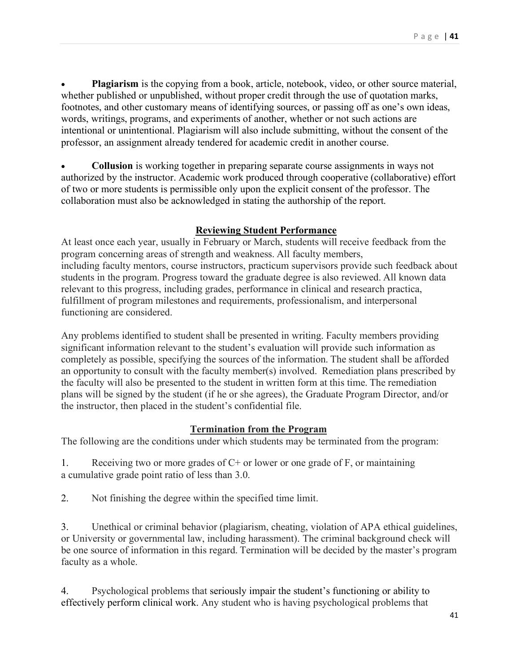• **Plagiarism** is the copying from a book, article, notebook, video, or other source material, whether published or unpublished, without proper credit through the use of quotation marks, footnotes, and other customary means of identifying sources, or passing off as one's own ideas, words, writings, programs, and experiments of another, whether or not such actions are intentional or unintentional. Plagiarism will also include submitting, without the consent of the professor, an assignment already tendered for academic credit in another course.

• **Collusion** is working together in preparing separate course assignments in ways not authorized by the instructor. Academic work produced through cooperative (collaborative) effort of two or more students is permissible only upon the explicit consent of the professor. The collaboration must also be acknowledged in stating the authorship of the report.

### **Reviewing Student Performance**

At least once each year, usually in February or March, students will receive feedback from the program concerning areas of strength and weakness. All faculty members, including faculty mentors, course instructors, practicum supervisors provide such feedback about students in the program. Progress toward the graduate degree is also reviewed. All known data relevant to this progress, including grades, performance in clinical and research practica, fulfillment of program milestones and requirements, professionalism, and interpersonal functioning are considered. 

Any problems identified to student shall be presented in writing. Faculty members providing significant information relevant to the student's evaluation will provide such information as completely as possible, specifying the sources of the information. The student shall be afforded an opportunity to consult with the faculty member(s) involved.  Remediation plans prescribed by the faculty will also be presented to the student in written form at this time. The remediation plans will be signed by the student (if he or she agrees), the Graduate Program Director, and/or the instructor, then placed in the student's confidential file.

## **Termination from the Program**

The following are the conditions under which students may be terminated from the program:

1. Receiving two or more grades of  $C<sup>+</sup>$  or lower or one grade of F, or maintaining a cumulative grade point ratio of less than 3.0.

2. Not finishing the degree within the specified time limit.

3. Unethical or criminal behavior (plagiarism, cheating, violation of APA ethical guidelines, or University or governmental law, including harassment). The criminal background check will be one source of information in this regard. Termination will be decided by the master's program faculty as a whole.

4. Psychological problems that seriously impair the student's functioning or ability to effectively perform clinical work. Any student who is having psychological problems that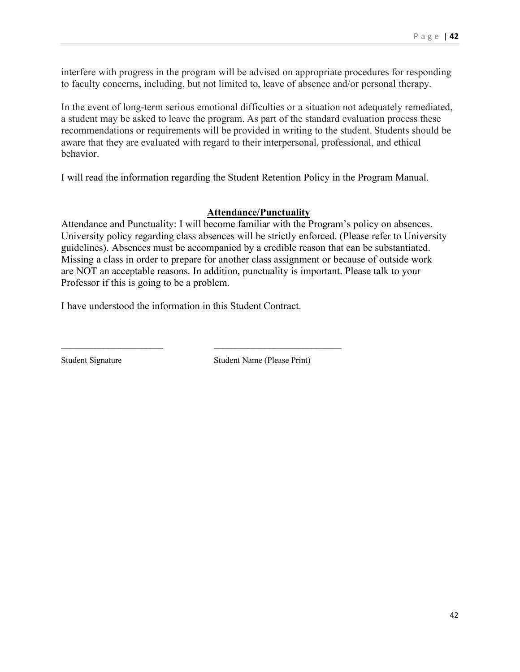interfere with progress in the program will be advised on appropriate procedures for responding to faculty concerns, including, but not limited to, leave of absence and/or personal therapy. 

In the event of long-term serious emotional difficulties or a situation not adequately remediated, a student may be asked to leave the program. As part of the standard evaluation process these recommendations or requirements will be provided in writing to the student. Students should be aware that they are evaluated with regard to their interpersonal, professional, and ethical behavior.

I will read the information regarding the Student Retention Policy in the Program Manual.

### **Attendance/Punctuality**

Attendance and Punctuality: I will become familiar with the Program's policy on absences. University policy regarding class absences will be strictly enforced. (Please refer to University guidelines). Absences must be accompanied by a credible reason that can be substantiated. Missing a class in order to prepare for another class assignment or because of outside work are NOT an acceptable reasons. In addition, punctuality is important. Please talk to your Professor if this is going to be a problem.

I have understood the information in this Student Contract.

\_\_\_\_\_\_\_\_\_\_\_\_\_\_\_\_\_\_\_\_\_\_\_\_ \_\_\_\_\_\_\_\_\_\_\_\_\_\_\_\_\_\_\_\_\_\_\_\_\_\_\_\_\_\_

Student Signature Student Name (Please Print)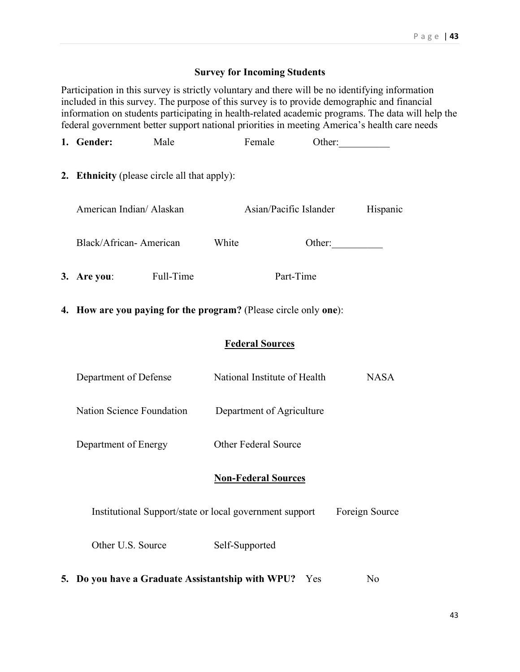### **Survey for Incoming Students**

Participation in this survey is strictly voluntary and there will be no identifying information included in this survey. The purpose of this survey is to provide demographic and financial information on students participating in health-related academic programs. The data will help the federal government better support national priorities in meeting America's health care needs

| 1. Gender:                                                       | Male |       | Female                                                  |  | Other:         |
|------------------------------------------------------------------|------|-------|---------------------------------------------------------|--|----------------|
| 2. Ethnicity (please circle all that apply):                     |      |       |                                                         |  |                |
| American Indian/ Alaskan                                         |      |       | Asian/Pacific Islander                                  |  | Hispanic       |
| Black/African-American                                           |      | White |                                                         |  | Other:         |
| 3. Are you: Full-Time                                            |      |       | Part-Time                                               |  |                |
| 4. How are you paying for the program? (Please circle only one): |      |       |                                                         |  |                |
| <b>Federal Sources</b>                                           |      |       |                                                         |  |                |
| Department of Defense                                            |      |       | National Institute of Health                            |  | <b>NASA</b>    |
| Nation Science Foundation                                        |      |       | Department of Agriculture                               |  |                |
| Department of Energy                                             |      |       | <b>Other Federal Source</b>                             |  |                |
|                                                                  |      |       | <b>Non-Federal Sources</b>                              |  |                |
|                                                                  |      |       | Institutional Support/state or local government support |  | Foreign Source |
| Other U.S. Source                                                |      |       | Self-Supported                                          |  |                |
|                                                                  |      |       |                                                         |  |                |

**5. Do you have a Graduate Assistantship with WPU?** Yes No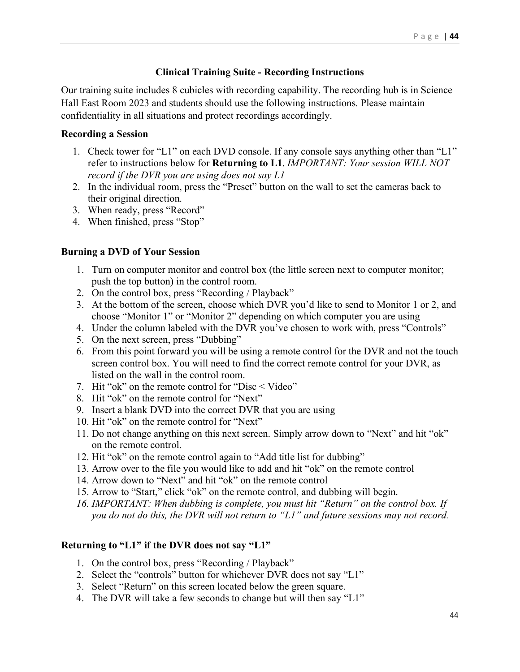## **Clinical Training Suite - Recording Instructions**

Our training suite includes 8 cubicles with recording capability. The recording hub is in Science Hall East Room 2023 and students should use the following instructions. Please maintain confidentiality in all situations and protect recordings accordingly.

### **Recording a Session**

- 1. Check tower for "L1" on each DVD console. If any console says anything other than "L1" refer to instructions below for **Returning to L1**. *IMPORTANT: Your session WILL NOT record if the DVR you are using does not say L1*
- 2. In the individual room, press the "Preset" button on the wall to set the cameras back to their original direction.
- 3. When ready, press "Record"
- 4. When finished, press "Stop"

### **Burning a DVD of Your Session**

- 1. Turn on computer monitor and control box (the little screen next to computer monitor; push the top button) in the control room.
- 2. On the control box, press "Recording / Playback"
- 3. At the bottom of the screen, choose which DVR you'd like to send to Monitor 1 or 2, and choose "Monitor 1" or "Monitor 2" depending on which computer you are using
- 4. Under the column labeled with the DVR you've chosen to work with, press "Controls"
- 5. On the next screen, press "Dubbing"
- 6. From this point forward you will be using a remote control for the DVR and not the touch screen control box. You will need to find the correct remote control for your DVR, as listed on the wall in the control room.
- 7. Hit "ok" on the remote control for "Disc < Video"
- 8. Hit "ok" on the remote control for "Next"
- 9. Insert a blank DVD into the correct DVR that you are using
- 10. Hit "ok" on the remote control for "Next"
- 11. Do not change anything on this next screen. Simply arrow down to "Next" and hit "ok" on the remote control.
- 12. Hit "ok" on the remote control again to "Add title list for dubbing"
- 13. Arrow over to the file you would like to add and hit "ok" on the remote control
- 14. Arrow down to "Next" and hit "ok" on the remote control
- 15. Arrow to "Start," click "ok" on the remote control, and dubbing will begin.
- *16. IMPORTANT: When dubbing is complete, you must hit "Return" on the control box. If you do not do this, the DVR will not return to "L1" and future sessions may not record.*

## **Returning to "L1" if the DVR does not say "L1"**

- 1. On the control box, press "Recording / Playback"
- 2. Select the "controls" button for whichever DVR does not say "L1"
- 3. Select "Return" on this screen located below the green square.
- 4. The DVR will take a few seconds to change but will then say "L1"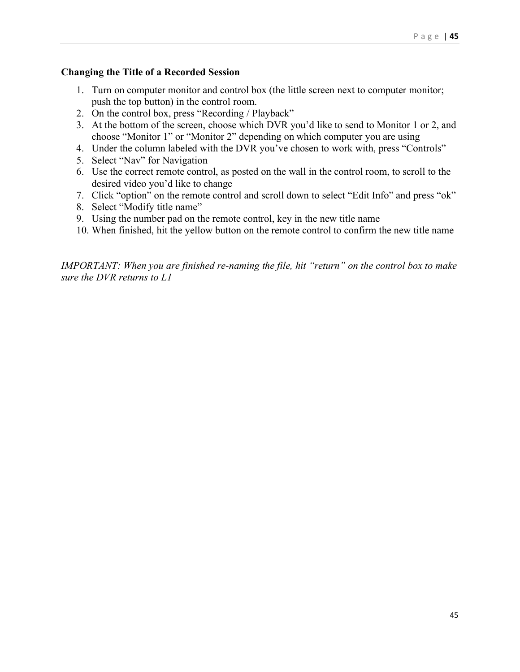## **Changing the Title of a Recorded Session**

- 1. Turn on computer monitor and control box (the little screen next to computer monitor; push the top button) in the control room.
- 2. On the control box, press "Recording / Playback"
- 3. At the bottom of the screen, choose which DVR you'd like to send to Monitor 1 or 2, and choose "Monitor 1" or "Monitor 2" depending on which computer you are using
- 4. Under the column labeled with the DVR you've chosen to work with, press "Controls"
- 5. Select "Nav" for Navigation
- 6. Use the correct remote control, as posted on the wall in the control room, to scroll to the desired video you'd like to change
- 7. Click "option" on the remote control and scroll down to select "Edit Info" and press "ok"
- 8. Select "Modify title name"
- 9. Using the number pad on the remote control, key in the new title name
- 10. When finished, hit the yellow button on the remote control to confirm the new title name

*IMPORTANT: When you are finished re-naming the file, hit "return" on the control box to make sure the DVR returns to L1*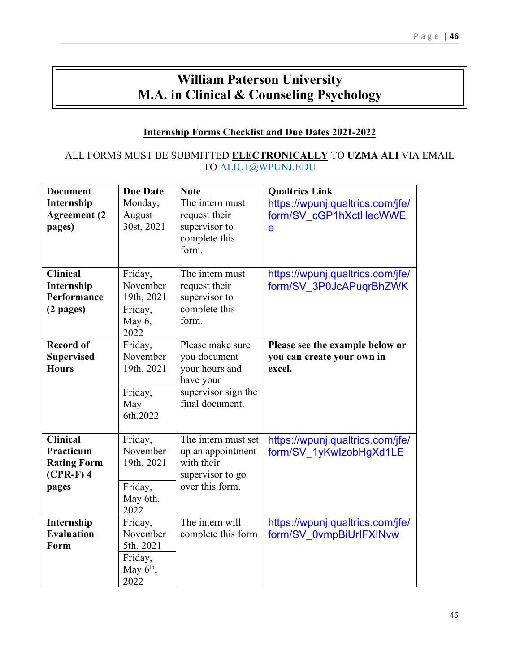## **William Paterson University M.A. in Clinical & Counseling Psychology**

## **Internship Forms Checklist and Due Dates 2021-2022**

### ALL FORMS MUST BE SUBMITTED **ELECTRONICALLY** TO **UZMA ALI** VIA EMAIL TO [ALIU1@WPUNJ.EDU](mailto:ALIU1@WPUNJ.EDU)

| <b>Document</b>                                                            | <b>Due Date</b>                                                    | <b>Note</b>                                                                                               | <b>Qualtrics Link</b>                                                     |
|----------------------------------------------------------------------------|--------------------------------------------------------------------|-----------------------------------------------------------------------------------------------------------|---------------------------------------------------------------------------|
| Internship<br><b>Agreement</b> (2<br>pages)                                | Monday,<br>August<br>30st, 2021                                    | The intern must<br>request their<br>supervisor to<br>complete this<br>form.                               | https://wpunj.qualtrics.com/jfe/<br>form/SV cGP1hXctHecWWE<br>$\mathbf e$ |
| <b>Clinical</b><br>Internship<br>Performance<br>$(2$ pages)                | Friday,<br>November<br>19th, 2021<br>Friday,<br>May 6,<br>2022     | The intern must<br>request their<br>supervisor to<br>complete this<br>form.                               | https://wpunj.qualtrics.com/jfe/<br>form/SV 3P0JcAPuqrBhZWK               |
| <b>Record of</b><br><b>Supervised</b><br><b>Hours</b>                      | Friday,<br>November<br>19th, 2021<br>Friday,<br>May<br>6th, 2022   | Please make sure<br>you document<br>your hours and<br>have your<br>supervisor sign the<br>final document. | Please see the example below or<br>you can create your own in<br>excel.   |
| <b>Clinical</b><br>Practicum<br><b>Rating Form</b><br>$(CPR-F)$ 4<br>pages | Friday,<br>November<br>19th, 2021<br>Friday,<br>May 6th,<br>2022   | The intern must set<br>up an appointment<br>with their<br>supervisor to go<br>over this form.             | https://wpunj.qualtrics.com/jfe/<br>form/SV 1yKwlzobHgXd1LE               |
| Internship<br><b>Evaluation</b><br>Form                                    | Friday,<br>November<br>5th, 2021<br>Friday,<br>May $6th$ ,<br>2022 | The intern will<br>complete this form                                                                     | https://wpunj.qualtrics.com/jfe/<br>form/SV 0vmpBiUrlFXINvw               |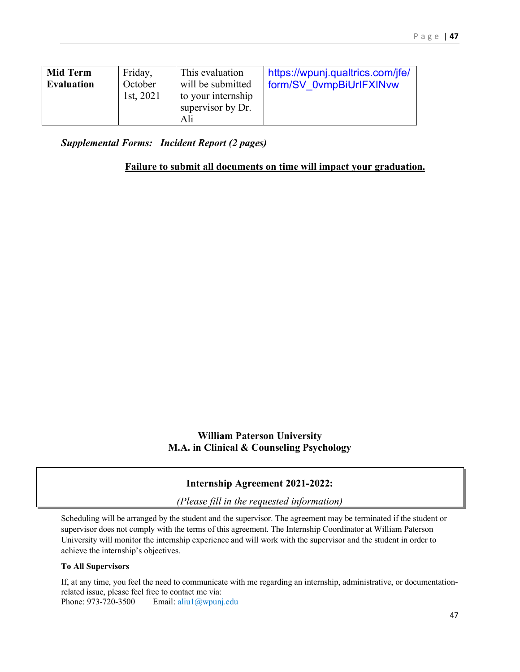| <b>Mid Term</b><br><b>Evaluation</b> | Friday,<br>October<br>1st, 2021 | This evaluation<br>will be submitted<br>to your internship<br>supervisor by Dr.<br>Ali | https://wpunj.qualtrics.com/jfe/<br>form/SV 0vmpBiUrIFXINvw |
|--------------------------------------|---------------------------------|----------------------------------------------------------------------------------------|-------------------------------------------------------------|
|--------------------------------------|---------------------------------|----------------------------------------------------------------------------------------|-------------------------------------------------------------|

*Supplemental Forms: Incident Report (2 pages)* 

#### **Failure to submit all documents on time will impact your graduation.**

## **William Paterson University M.A. in Clinical & Counseling Psychology**

## **Internship Agreement 2021-2022:**

*(Please fill in the requested information)*

Scheduling will be arranged by the student and the supervisor. The agreement may be terminated if the student or supervisor does not comply with the terms of this agreement. The Internship Coordinator at William Paterson University will monitor the internship experience and will work with the supervisor and the student in order to achieve the internship's objectives.

#### **To All Supervisors**

If, at any time, you feel the need to communicate with me regarding an internship, administrative, or documentationrelated issue, please feel free to contact me via: Phone: 973-720-3500 Email: aliu1@wpunj.edu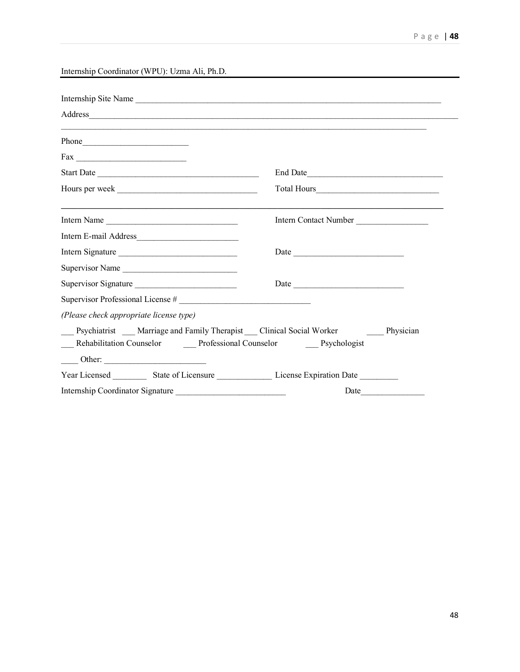Internship Coordinator (WPU): Uzma Ali, Ph.D.

| Internship Site Name                                                                        |                       |
|---------------------------------------------------------------------------------------------|-----------------------|
|                                                                                             |                       |
| Phone                                                                                       |                       |
|                                                                                             |                       |
| Start Date                                                                                  | End Date              |
|                                                                                             |                       |
| Intern Name                                                                                 | Intern Contact Number |
|                                                                                             |                       |
| Intern Signature                                                                            |                       |
| Supervisor Name                                                                             |                       |
| Supervisor Signature                                                                        |                       |
| Supervisor Professional License #                                                           |                       |
| (Please check appropriate license type)                                                     |                       |
| Psychiatrist ___ Marriage and Family Therapist ___ Clinical Social Worker _______ Physician |                       |
| __ Rehabilitation Counselor ________ Professional Counselor ________ Psychologist           |                       |
| $\frac{\text{Other:}}{\text{other:}}$                                                       |                       |
|                                                                                             |                       |
| Internship Coordinator Signature                                                            | Date                  |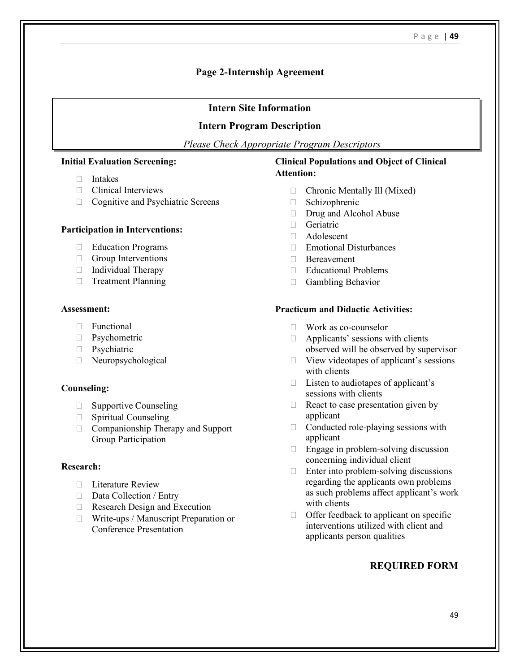### **Page 2-Internship Agreement**

#### **Intern Site Information**

#### **Intern Program Description**

*Please Check Appropriate Program Descriptors*

#### **Initial Evaluation Screening:**

- Intakes
- **Clinical Interviews**
- □ Cognitive and Psychiatric Screens

#### **Participation in Interventions:**

- **Education Programs**
- Group Interventions
- $\Box$  Individual Therapy
- **Treatment Planning**

#### **Assessment:**

- Functional
- **Psychometric**
- **Psychiatric**
- Neuropsychological

#### **Counseling:**

- □ Supportive Counseling
- **Spiritual Counseling**
- □ Companionship Therapy and Support Group Participation

#### **Research:**

- □ Literature Review
- $\Box$  Data Collection / Entry
- Research Design and Execution
- □ Write-ups / Manuscript Preparation or Conference Presentation

#### **Clinical Populations and Object of Clinical Attention:**

- Chronic Mentally Ill (Mixed)
- □ Schizophrenic
- Drug and Alcohol Abuse
- □ Geriatric
- Adolescent
- Emotional Disturbances
- □ Bereavement
- Educational Problems
- **Gambling Behavior**

#### **Practicum and Didactic Activities:**

- Work as co-counselor
- $\Box$  Applicants' sessions with clients observed will be observed by supervisor
- $\Box$  View videotapes of applicant's sessions with clients
- $\Box$  Listen to audiotapes of applicant's sessions with clients
- $\Box$  React to case presentation given by applicant
- $\Box$  Conducted role-playing sessions with applicant
- $\Box$  Engage in problem-solving discussion concerning individual client
- $\Box$  Enter into problem-solving discussions regarding the applicants own problems as such problems affect applicant's work with clients
- $\Box$  Offer feedback to applicant on specific interventions utilized with client and applicants person qualities

#### **REQUIRED FORM**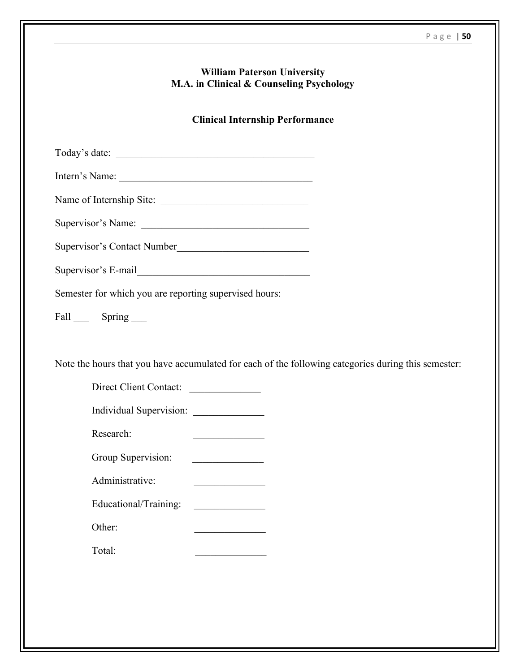|                                                                                                     | <b>William Paterson University</b><br>M.A. in Clinical & Counseling Psychology |  |
|-----------------------------------------------------------------------------------------------------|--------------------------------------------------------------------------------|--|
|                                                                                                     | <b>Clinical Internship Performance</b>                                         |  |
|                                                                                                     |                                                                                |  |
| Intern's Name:                                                                                      |                                                                                |  |
| Name of Internship Site:                                                                            |                                                                                |  |
|                                                                                                     |                                                                                |  |
| Supervisor's Contact Number                                                                         |                                                                                |  |
|                                                                                                     |                                                                                |  |
| Semester for which you are reporting supervised hours:                                              |                                                                                |  |
| Fall Spring                                                                                         |                                                                                |  |
| Note the hours that you have accumulated for each of the following categories during this semester: |                                                                                |  |
| Direct Client Contact:                                                                              |                                                                                |  |
| Research:                                                                                           |                                                                                |  |
| Group Supervision:                                                                                  |                                                                                |  |
| Administrative:                                                                                     |                                                                                |  |
| Educational/Training:                                                                               |                                                                                |  |
| Other:                                                                                              |                                                                                |  |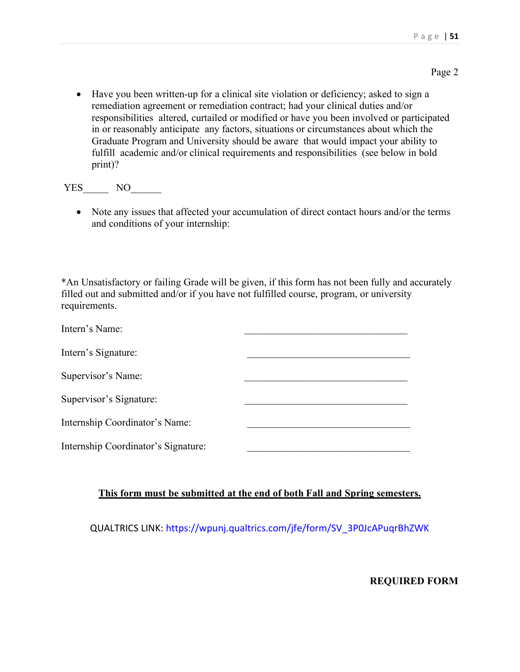• Have you been written-up for a clinical site violation or deficiency; asked to sign a remediation agreement or remediation contract; had your clinical duties and/or responsibilities altered, curtailed or modified or have you been involved or participated in or reasonably anticipate any factors, situations or circumstances about which the Graduate Program and University should be aware that would impact your ability to fulfill academic and/or clinical requirements and responsibilities (see below in bold print)?

YES NO

• Note any issues that affected your accumulation of direct contact hours and/or the terms and conditions of your internship:

\*An Unsatisfactory or failing Grade will be given, if this form has not been fully and accurately filled out and submitted and/or if you have not fulfilled course, program, or university requirements.

| Intern's Name:                      |  |
|-------------------------------------|--|
| Intern's Signature:                 |  |
| Supervisor's Name:                  |  |
| Supervisor's Signature:             |  |
| Internship Coordinator's Name:      |  |
| Internship Coordinator's Signature: |  |

## **This form must be submitted at the end of both Fall and Spring semesters.**

QUALTRICS LINK: [https://wpunj.qualtrics.com/jfe/form/SV\\_3P0JcAPuqrBhZWK](https://wpunj.qualtrics.com/jfe/form/SV_3P0JcAPuqrBhZWK)

**REQUIRED FORM**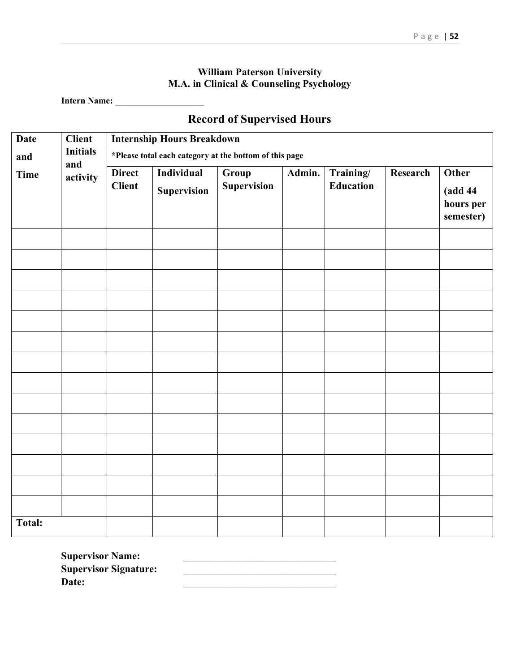## **William Paterson University M.A. in Clinical & Counseling Psychology**

**Intern Name: \_\_\_\_\_\_\_\_\_\_\_\_\_\_\_\_\_\_\_\_**

## **Record of Supervised Hours**

| <b>Date</b>   | <b>Client</b>          | <b>Internship Hours Breakdown</b> |                    |                                                        |        |                  |          |                                    |
|---------------|------------------------|-----------------------------------|--------------------|--------------------------------------------------------|--------|------------------|----------|------------------------------------|
| and           | <b>Initials</b><br>and |                                   |                    | *Please total each category at the bottom of this page |        |                  |          |                                    |
| <b>Time</b>   | activity               | <b>Direct</b>                     | <b>Individual</b>  | Group                                                  | Admin. | Training/        | Research | Other                              |
|               |                        | <b>Client</b>                     | <b>Supervision</b> | <b>Supervision</b>                                     |        | <b>Education</b> |          | (add 44)<br>hours per<br>semester) |
|               |                        |                                   |                    |                                                        |        |                  |          |                                    |
|               |                        |                                   |                    |                                                        |        |                  |          |                                    |
|               |                        |                                   |                    |                                                        |        |                  |          |                                    |
|               |                        |                                   |                    |                                                        |        |                  |          |                                    |
|               |                        |                                   |                    |                                                        |        |                  |          |                                    |
|               |                        |                                   |                    |                                                        |        |                  |          |                                    |
|               |                        |                                   |                    |                                                        |        |                  |          |                                    |
|               |                        |                                   |                    |                                                        |        |                  |          |                                    |
|               |                        |                                   |                    |                                                        |        |                  |          |                                    |
|               |                        |                                   |                    |                                                        |        |                  |          |                                    |
|               |                        |                                   |                    |                                                        |        |                  |          |                                    |
|               |                        |                                   |                    |                                                        |        |                  |          |                                    |
|               |                        |                                   |                    |                                                        |        |                  |          |                                    |
|               |                        |                                   |                    |                                                        |        |                  |          |                                    |
| <b>Total:</b> |                        |                                   |                    |                                                        |        |                  |          |                                    |

Supervisor Name:  $\qquad \qquad \qquad$ **Supervisor Signature:** \_\_\_\_\_\_\_\_\_\_\_\_\_\_\_\_\_\_\_\_\_\_\_\_\_\_\_\_\_\_ **Date:** \_\_\_\_\_\_\_\_\_\_\_\_\_\_\_\_\_\_\_\_\_\_\_\_\_\_\_\_\_\_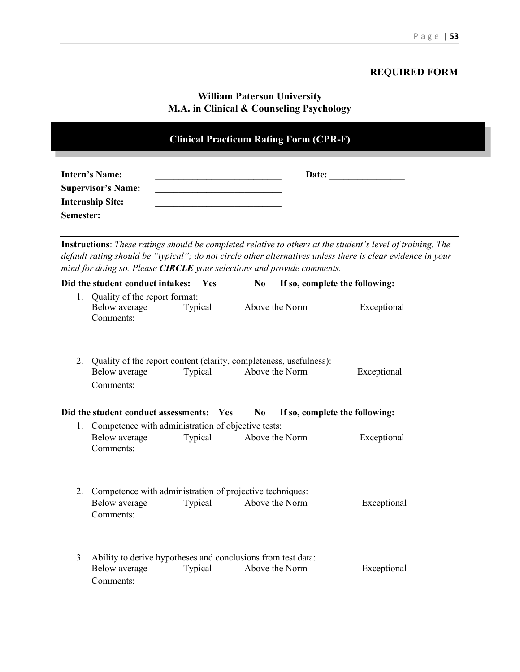## **REQUIRED FORM**

## **William Paterson University M.A. in Clinical & Counseling Psychology**

| <b>Clinical Practicum Rating Form (CPR-F)</b>                                              |  |  |  |
|--------------------------------------------------------------------------------------------|--|--|--|
| <b>Intern's Name:</b><br><b>Supervisor's Name:</b><br><b>Internship Site:</b><br>Semester: |  |  |  |

**Instructions**: *These ratings should be completed relative to others at the student's level of training. The default rating should be "typical"; do not circle other alternatives unless there is clear evidence in your mind for doing so. Please CIRCLE your selections and provide comments.*

|    | Did the student conduct intakes:                                                                 | <b>Yes</b> | N <sub>0</sub> | If so, complete the following: |
|----|--------------------------------------------------------------------------------------------------|------------|----------------|--------------------------------|
| 1. | Quality of the report format:<br>Below average<br>Comments:                                      | Typical    | Above the Norm | Exceptional                    |
| 2. | Quality of the report content (clarity, completeness, usefulness):<br>Below average<br>Comments: | Typical    | Above the Norm | Exceptional                    |
|    | Did the student conduct assessments: Yes                                                         |            | N <sub>0</sub> | If so, complete the following: |
|    | 1. Competence with administration of objective tests:<br>Below average<br>Comments:              | Typical    | Above the Norm | Exceptional                    |
| 2. | Competence with administration of projective techniques:<br>Below average<br>Comments:           | Typical    | Above the Norm | Exceptional                    |
| 3. | Ability to derive hypotheses and conclusions from test data:<br>Below average<br>Comments:       | Typical    | Above the Norm | Exceptional                    |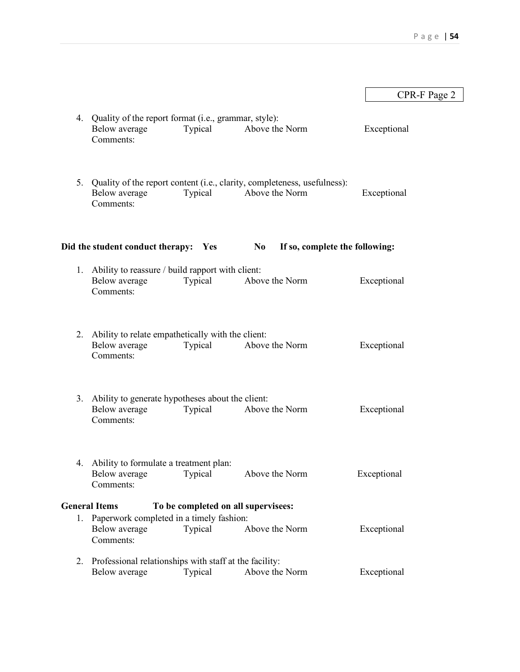|    |                                                                                       |         |                                                                                               | CPR-F Page 2 |
|----|---------------------------------------------------------------------------------------|---------|-----------------------------------------------------------------------------------------------|--------------|
|    | 4. Quality of the report format (i.e., grammar, style):<br>Below average<br>Comments: | Typical | Above the Norm                                                                                | Exceptional  |
|    | Below average<br>Comments:                                                            | Typical | 5. Quality of the report content (i.e., clarity, completeness, usefulness):<br>Above the Norm | Exceptional  |
|    | Did the student conduct therapy: Yes                                                  |         | If so, complete the following:<br>N <sub>0</sub>                                              |              |
|    | 1. Ability to reassure / build rapport with client:<br>Below average<br>Comments:     | Typical | Above the Norm                                                                                | Exceptional  |
|    | 2. Ability to relate empathetically with the client:<br>Below average<br>Comments:    | Typical | Above the Norm                                                                                | Exceptional  |
|    | 3. Ability to generate hypotheses about the client:<br>Below average<br>Comments:     | Typical | Above the Norm                                                                                | Exceptional  |
|    | 4. Ability to formulate a treatment plan:<br>Below average<br>Comments:               | Typical | Above the Norm                                                                                | Exceptional  |
|    | <b>General Items</b>                                                                  |         | To be completed on all supervisees:                                                           |              |
| 1. | Paperwork completed in a timely fashion:<br>Below average<br>Comments:                | Typical | Above the Norm                                                                                | Exceptional  |
|    | 2. Professional relationships with staff at the facility:                             |         |                                                                                               |              |
|    | Below average                                                                         | Typical | Above the Norm                                                                                | Exceptional  |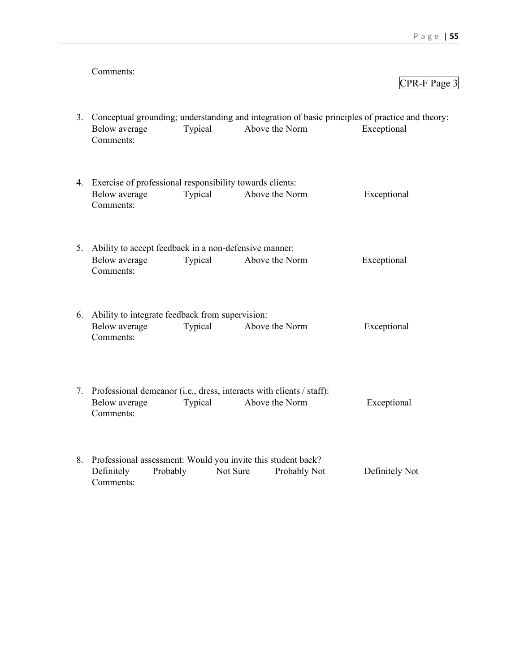#### Comments:

#### CPR-F Page 3

3. Conceptual grounding; understanding and integration of basic principles of practice and theory: Below average Typical Above the Norm Exceptional Comments: 4. Exercise of professional responsibility towards clients: Below average Typical Above the Norm Exceptional Comments: 5. Ability to accept feedback in a non-defensive manner: Below average Typical Above the Norm Exceptional Comments: 6. Ability to integrate feedback from supervision: Below average Typical Above the Norm Exceptional Comments: 7. Professional demeanor (i.e., dress, interacts with clients / staff): Below average Typical Above the Norm Exceptional Comments: 8. Professional assessment: Would you invite this student back? Definitely Probably Not Sure Probably Not Definitely Not Comments: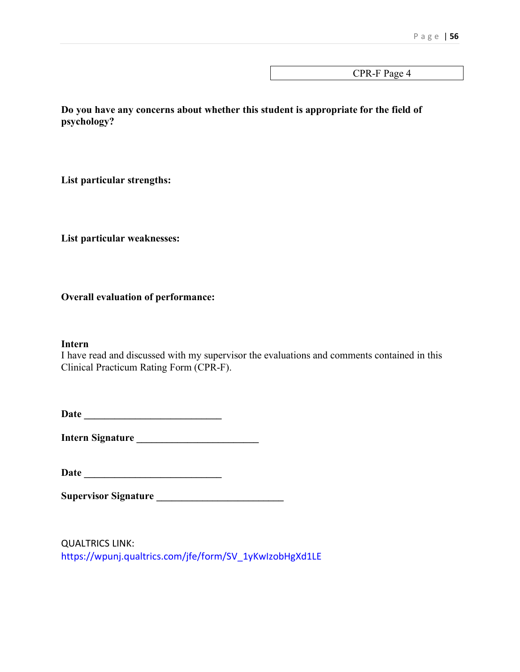CPR-F Page 4

**Do you have any concerns about whether this student is appropriate for the field of psychology?**

**List particular strengths:**

**List particular weaknesses:**

**Overall evaluation of performance:**

#### **Intern**

I have read and discussed with my supervisor the evaluations and comments contained in this Clinical Practicum Rating Form (CPR-F).

**Date \_\_\_\_\_\_\_\_\_\_\_\_\_\_\_\_\_\_\_\_\_\_\_\_\_\_\_**

**Intern Signature \_\_\_\_\_\_\_\_\_\_\_\_\_\_\_\_\_\_\_\_\_\_\_\_**

**Date \_\_\_\_\_\_\_\_\_\_\_\_\_\_\_\_\_\_\_\_\_\_\_\_\_\_\_**

**Supervisor Signature \_\_\_\_\_\_\_\_\_\_\_\_\_\_\_\_\_\_\_\_\_\_\_\_\_**

QUALTRICS LINK: [https://wpunj.qualtrics.com/jfe/form/SV\\_1yKwIzobHgXd1LE](https://wpunj.qualtrics.com/jfe/form/SV_1yKwIzobHgXd1LE)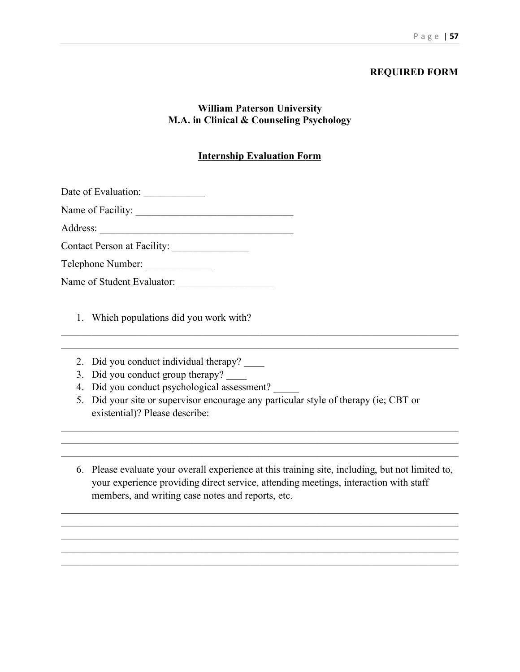## **REQUIRED FORM**

## **William Paterson University M.A. in Clinical & Counseling Psychology**

## **Internship Evaluation Form**

| Date of Evaluation: |  |
|---------------------|--|
|---------------------|--|

| Name of Facility: |  |
|-------------------|--|
|-------------------|--|

Address: \_\_\_\_\_\_\_\_\_\_\_\_\_\_\_\_\_\_\_\_\_\_\_\_\_\_\_\_\_\_\_\_\_\_\_\_\_\_

Contact Person at Facility: \_\_\_\_\_\_\_\_\_\_\_\_\_\_\_

| Telephone Number: |  |
|-------------------|--|
|-------------------|--|

| Name of Student Evaluator: |  |
|----------------------------|--|
|                            |  |

1. Which populations did you work with?

- 2. Did you conduct individual therapy?
- 3. Did you conduct group therapy? \_\_\_\_\_
- 4. Did you conduct psychological assessment?
- 5. Did your site or supervisor encourage any particular style of therapy (ie; CBT or existential)? Please describe:

 $\mathcal{L}_\mathcal{L} = \mathcal{L}_\mathcal{L} = \mathcal{L}_\mathcal{L} = \mathcal{L}_\mathcal{L} = \mathcal{L}_\mathcal{L} = \mathcal{L}_\mathcal{L} = \mathcal{L}_\mathcal{L} = \mathcal{L}_\mathcal{L} = \mathcal{L}_\mathcal{L} = \mathcal{L}_\mathcal{L} = \mathcal{L}_\mathcal{L} = \mathcal{L}_\mathcal{L} = \mathcal{L}_\mathcal{L} = \mathcal{L}_\mathcal{L} = \mathcal{L}_\mathcal{L} = \mathcal{L}_\mathcal{L} = \mathcal{L}_\mathcal{L}$ 

6. Please evaluate your overall experience at this training site, including, but not limited to, your experience providing direct service, attending meetings, interaction with staff members, and writing case notes and reports, etc.

\_\_\_\_\_\_\_\_\_\_\_\_\_\_\_\_\_\_\_\_\_\_\_\_\_\_\_\_\_\_\_\_\_\_\_\_\_\_\_\_\_\_\_\_\_\_\_\_\_\_\_\_\_\_\_\_\_\_\_\_\_\_\_\_\_\_\_\_\_\_\_\_\_\_\_\_\_\_  $\mathcal{L}_\mathcal{L} = \mathcal{L}_\mathcal{L} = \mathcal{L}_\mathcal{L} = \mathcal{L}_\mathcal{L} = \mathcal{L}_\mathcal{L} = \mathcal{L}_\mathcal{L} = \mathcal{L}_\mathcal{L} = \mathcal{L}_\mathcal{L} = \mathcal{L}_\mathcal{L} = \mathcal{L}_\mathcal{L} = \mathcal{L}_\mathcal{L} = \mathcal{L}_\mathcal{L} = \mathcal{L}_\mathcal{L} = \mathcal{L}_\mathcal{L} = \mathcal{L}_\mathcal{L} = \mathcal{L}_\mathcal{L} = \mathcal{L}_\mathcal{L}$ \_\_\_\_\_\_\_\_\_\_\_\_\_\_\_\_\_\_\_\_\_\_\_\_\_\_\_\_\_\_\_\_\_\_\_\_\_\_\_\_\_\_\_\_\_\_\_\_\_\_\_\_\_\_\_\_\_\_\_\_\_\_\_\_\_\_\_\_\_\_\_\_\_\_\_\_\_\_

\_\_\_\_\_\_\_\_\_\_\_\_\_\_\_\_\_\_\_\_\_\_\_\_\_\_\_\_\_\_\_\_\_\_\_\_\_\_\_\_\_\_\_\_\_\_\_\_\_\_\_\_\_\_\_\_\_\_\_\_\_\_\_\_\_\_\_\_\_\_\_\_\_\_\_\_\_\_

\_\_\_\_\_\_\_\_\_\_\_\_\_\_\_\_\_\_\_\_\_\_\_\_\_\_\_\_\_\_\_\_\_\_\_\_\_\_\_\_\_\_\_\_\_\_\_\_\_\_\_\_\_\_\_\_\_\_\_\_\_\_\_\_\_\_\_\_\_\_\_\_\_\_\_\_\_\_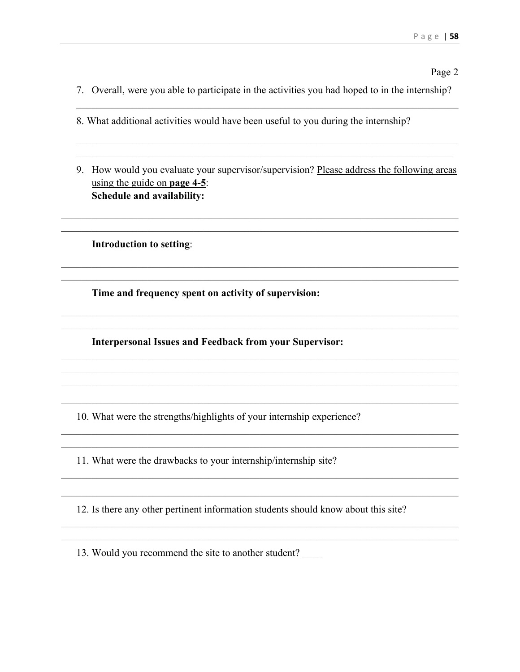#### Page 2

- 7. Overall, were you able to participate in the activities you had hoped to in the internship?
- 8. What additional activities would have been useful to you during the internship?
- 9. How would you evaluate your supervisor/supervision? Please address the following areas using the guide on page  $4-5$ : Schedule and availability:

**Introduction to setting:** 

Time and frequency spent on activity of supervision:

**Interpersonal Issues and Feedback from your Supervisor:** 

10. What were the strengths/highlights of your internship experience?

11. What were the drawbacks to your internship/internship site?

12. Is there any other pertinent information students should know about this site?

<u> 1989 - Jan Barnett, fransk politiker (d. 1989)</u>

13. Would you recommend the site to another student?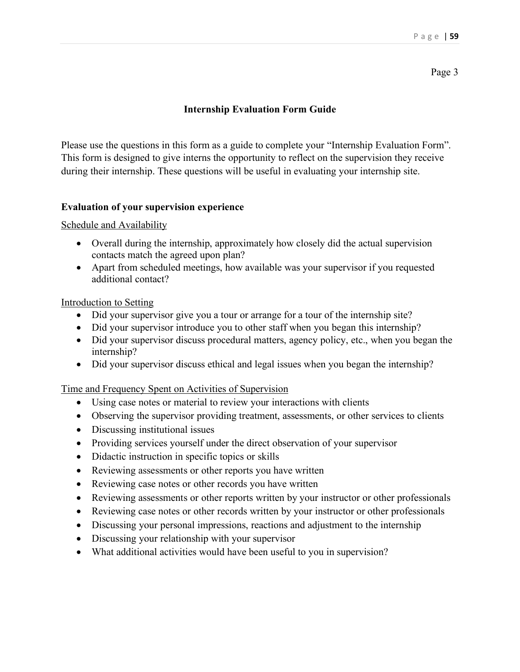Page 3

## **Internship Evaluation Form Guide**

Please use the questions in this form as a guide to complete your "Internship Evaluation Form". This form is designed to give interns the opportunity to reflect on the supervision they receive during their internship. These questions will be useful in evaluating your internship site.

### **Evaluation of your supervision experience**

Schedule and Availability

- Overall during the internship, approximately how closely did the actual supervision contacts match the agreed upon plan?
- Apart from scheduled meetings, how available was your supervisor if you requested additional contact?

Introduction to Setting

- Did your supervisor give you a tour or arrange for a tour of the internship site?
- Did your supervisor introduce you to other staff when you began this internship?
- Did your supervisor discuss procedural matters, agency policy, etc., when you began the internship?
- Did your supervisor discuss ethical and legal issues when you began the internship?

Time and Frequency Spent on Activities of Supervision

- Using case notes or material to review your interactions with clients
- Observing the supervisor providing treatment, assessments, or other services to clients
- Discussing institutional issues
- Providing services yourself under the direct observation of your supervisor
- Didactic instruction in specific topics or skills
- Reviewing assessments or other reports you have written
- Reviewing case notes or other records you have written
- Reviewing assessments or other reports written by your instructor or other professionals
- Reviewing case notes or other records written by your instructor or other professionals
- Discussing your personal impressions, reactions and adjustment to the internship
- Discussing your relationship with your supervisor
- What additional activities would have been useful to you in supervision?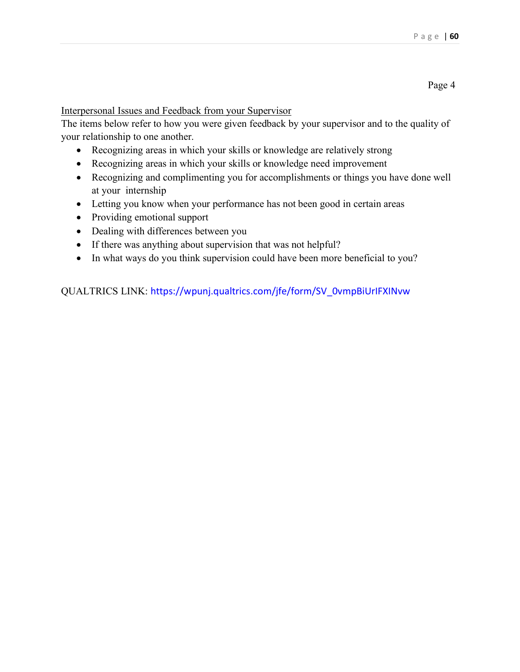#### Page 4

Interpersonal Issues and Feedback from your Supervisor

The items below refer to how you were given feedback by your supervisor and to the quality of your relationship to one another.

- Recognizing areas in which your skills or knowledge are relatively strong
- Recognizing areas in which your skills or knowledge need improvement
- Recognizing and complimenting you for accomplishments or things you have done well at your internship
- Letting you know when your performance has not been good in certain areas
- Providing emotional support
- Dealing with differences between you
- If there was anything about supervision that was not helpful?
- In what ways do you think supervision could have been more beneficial to you?

QUALTRICS LINK: [https://wpunj.qualtrics.com/jfe/form/SV\\_0vmpBiUrIFXINvw](https://wpunj.qualtrics.com/jfe/form/SV_0vmpBiUrIFXINvw)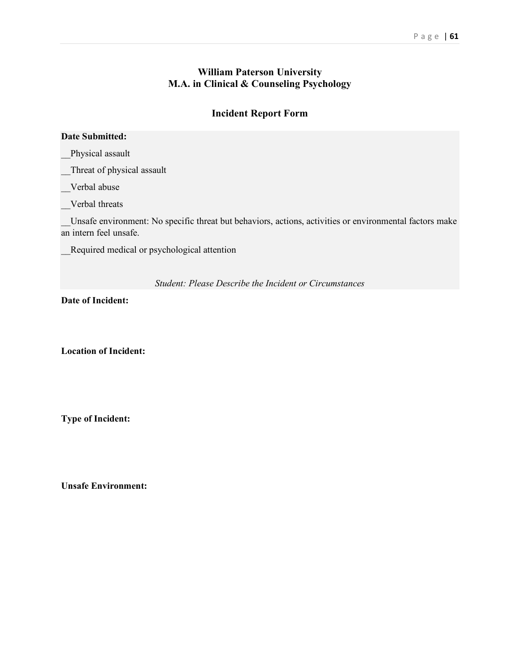## **William Paterson University M.A. in Clinical & Counseling Psychology**

## **Incident Report Form**

#### **Date Submitted:**

\_\_Physical assault

\_\_Threat of physical assault

\_\_Verbal abuse

\_\_Verbal threats

\_\_Unsafe environment: No specific threat but behaviors, actions, activities or environmental factors make an intern feel unsafe.

\_\_Required medical or psychological attention

*Student: Please Describe the Incident or Circumstances*

**Date of Incident:**

**Location of Incident:**

**Type of Incident:**

**Unsafe Environment:**